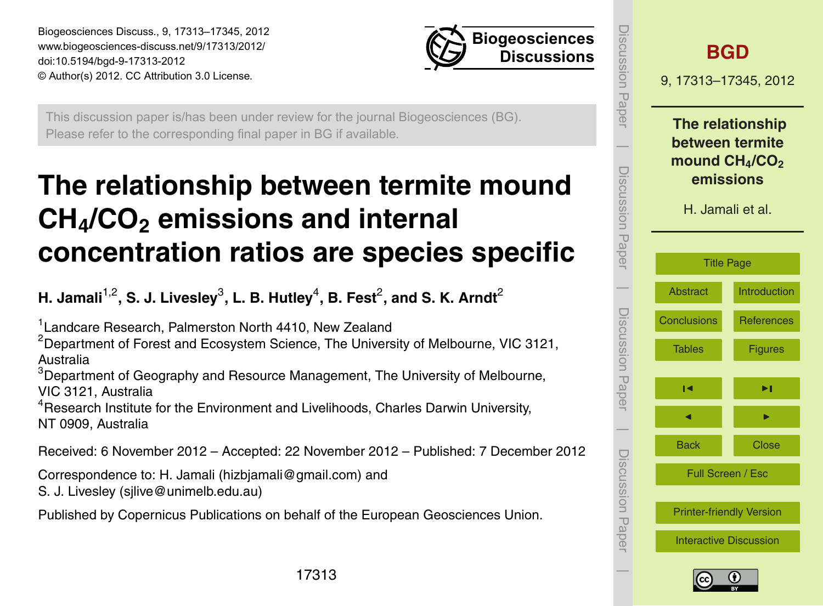<span id="page-0-0"></span>Biogeosciences Discuss., 9, 17313–17345, 2012 www.biogeosciences-discuss.net/9/17313/2012/ doi:10.5194/bgd-9-17313-2012 © Author(s) 2012. CC Attribution 3.0 License.



This discussion paper is/has been under review for the journal Biogeosciences (BG). Please refer to the corresponding final paper in BG if available.

# **The relationship between termite mound CH4/CO<sup>2</sup> emissions and internal concentration ratios are species specific**

**H. Jamali** $^{1,2}$ **, S. J. Livesley** $^3$ **, L. B. Hutley** $^4$ **, B. Fest** $^2$ **, and S. K. Arndt** $^2$ 

<sup>1</sup> Landcare Research, Palmerston North 4410, New Zealand

 $2$ Department of Forest and Ecosystem Science, The University of Melbourne, VIC 3121, Australia

<sup>3</sup>Department of Geography and Resource Management, The University of Melbourne, VIC 3121, Australia

<sup>4</sup>Research Institute for the Environment and Livelihoods, Charles Darwin University, NT 0909, Australia

Received: 6 November 2012 – Accepted: 22 November 2012 – Published: 7 December 2012

Correspondence to: H. Jamali (hizbjamali@gmail.com) and

S. J. Livesley (sjlive@unimelb.edu.au)

Published by Copernicus Publications on behalf of the European Geosciences Union.

| iscussion<br>Paper |                                                                                         | <b>BGD</b><br>9, 17313-17345, 2012 |  |  |  |  |  |
|--------------------|-----------------------------------------------------------------------------------------|------------------------------------|--|--|--|--|--|
| Discussion Paper   | The relationship<br>between termite<br>mound $CH4/CO2$<br>emissions<br>H. Jamali et al. |                                    |  |  |  |  |  |
|                    | <b>Title Page</b>                                                                       |                                    |  |  |  |  |  |
|                    | <b>Abstract</b>                                                                         | Introduction                       |  |  |  |  |  |
|                    | <b>Conclusions</b>                                                                      | <b>References</b>                  |  |  |  |  |  |
| Discussion Paper   | <b>Tables</b>                                                                           | <b>Figures</b>                     |  |  |  |  |  |
|                    | И                                                                                       | ▶∣                                 |  |  |  |  |  |
|                    |                                                                                         |                                    |  |  |  |  |  |
|                    | <b>Back</b>                                                                             | <b>Close</b>                       |  |  |  |  |  |
| Discussion Paper   | Full Screen / Esc                                                                       |                                    |  |  |  |  |  |
|                    | <b>Printer-friendly Version</b>                                                         |                                    |  |  |  |  |  |
|                    | <b>Interactive Discussion</b>                                                           |                                    |  |  |  |  |  |



 $\overline{\phantom{a}}$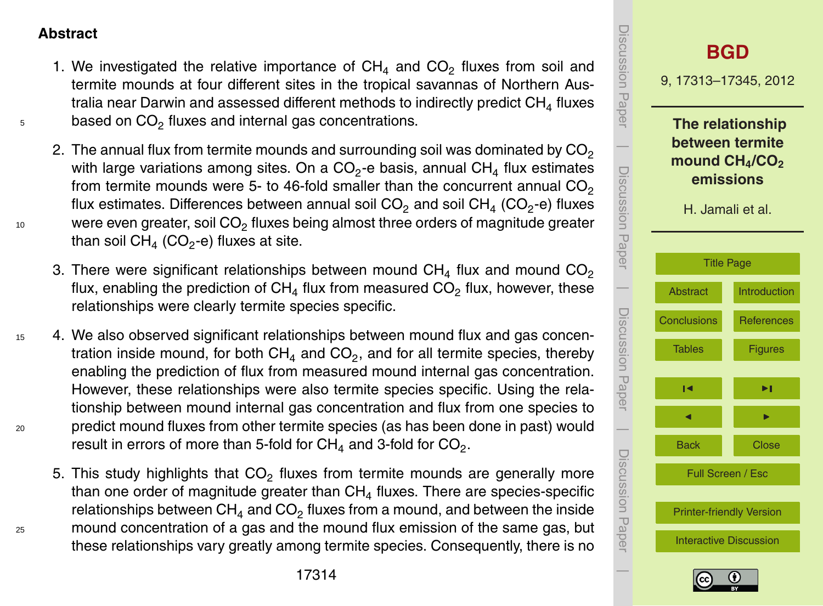#### <span id="page-1-0"></span>**Abstract**

- 1. We investigated the relative importance of  $CH<sub>4</sub>$  and  $CO<sub>2</sub>$  fluxes from soil and termite mounds at four different sites in the tropical savannas of Northern Australia near Darwin and assessed different methods to indirectly predict  $\mathsf{CH}_4$  fluxes  $55$  based on CO<sub>2</sub> fluxes and internal gas concentrations.
- 2. The annual flux from termite mounds and surrounding soil was dominated by  $CO<sub>2</sub>$ with large variations among sites. On a CO<sub>2</sub>-e basis, annual CH<sub>4</sub> flux estimates from termite mounds were 5- to 46-fold smaller than the concurrent annual  $CO<sub>2</sub>$ flux estimates. Differences between annual soil CO<sub>2</sub> and soil CH<sub>4</sub> (CO<sub>2</sub>-e) fluxes  $10$  were even greater, soil CO<sub>2</sub> fluxes being almost three orders of magnitude greater than soil CH $_4$  (CO $_2$ -e) fluxes at site.
	- 3. There were significant relationships between mound  $CH<sub>4</sub>$  flux and mound  $CO<sub>2</sub>$ flux, enabling the prediction of  $CH<sub>4</sub>$  flux from measured CO<sub>2</sub> flux, however, these relationships were clearly termite species specific.
- <sup>15</sup> 4. We also observed significant relationships between mound flux and gas concentration inside mound, for both CH<sub>4</sub> and CO<sub>2</sub>, and for all termite species, thereby enabling the prediction of flux from measured mound internal gas concentration. However, these relationships were also termite species specific. Using the relationship between mound internal gas concentration and flux from one species to <sup>20</sup> predict mound fluxes from other termite species (as has been done in past) would result in errors of more than 5-fold for  $\textsf{CH}_4$  and 3-fold for  $\textsf{CO}_2.$
- 5. This study highlights that  $CO<sub>2</sub>$  fluxes from termite mounds are generally more than one order of magnitude greater than CH $_4$  fluxes. There are species-specific relationships between  $\textsf{CH}_4$  and  $\textsf{CO}_2$  fluxes from a mound, and between the inside <sup>25</sup> mound concentration of a gas and the mound flux emission of the same gas, but these relationships vary greatly among termite species. Consequently, there is no



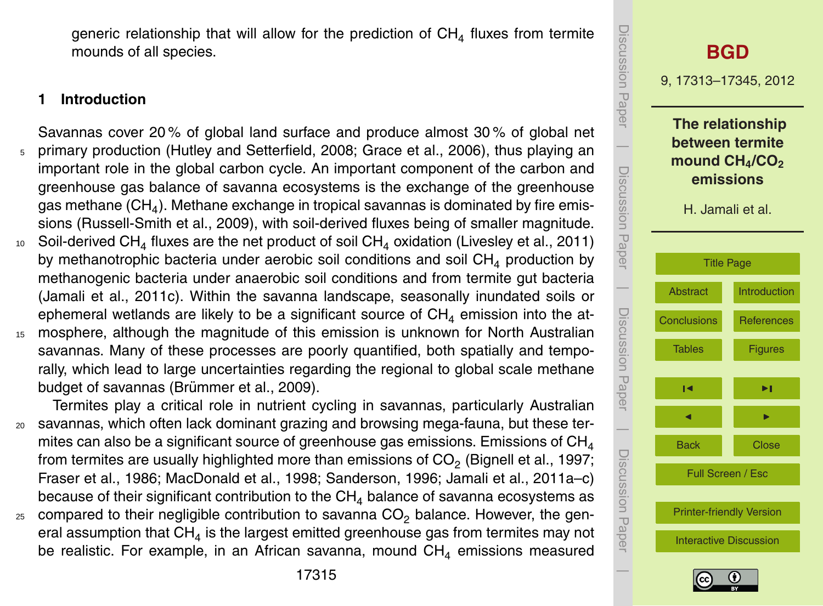<span id="page-2-0"></span>generic relationship that will allow for the prediction of  $CH<sub>4</sub>$  fluxes from termite mounds of all species.

# **1 Introduction**

- Savannas cover 20 % of global land surface and produce almost 30 % of global net <sup>5</sup> primary production (Hutley and Setterfield, 2008; Grace et al., 2006), thus playing an important role in the global carbon cycle. An important component of the carbon and greenhouse gas balance of savanna ecosystems is the exchange of the greenhouse gas methane (CH $_{\rm 4}$ ). Methane exchange in tropical savannas is dominated by fire emissions (Russell-Smith et al., 2009), with soil-derived fluxes being of smaller magnitude.
- 10 Soil-derived CH<sub>4</sub> fluxes are the net product of soil CH<sub>4</sub> oxidation (Livesley et al., 2011) by methanotrophic bacteria under aerobic soil conditions and soil  $CH<sub>4</sub>$  production by methanogenic bacteria under anaerobic soil conditions and from termite gut bacteria (Jamali et al., 2011c). Within the savanna landscape, seasonally inundated soils or ephemeral wetlands are likely to be a significant source of  $CH<sub>4</sub>$  emission into the at-
- <sup>15</sup> mosphere, although the magnitude of this emission is unknown for North Australian savannas. Many of these processes are poorly quantified, both spatially and temporally, which lead to large uncertainties regarding the regional to global scale methane budget of savannas (Brümmer et al., 2009).

Termites play a critical role in nutrient cycling in savannas, particularly Australian <sup>20</sup> savannas, which often lack dominant grazing and browsing mega-fauna, but these termites can also be a significant source of greenhouse gas emissions. Emissions of  $CH<sub>4</sub>$ from termites are usually highlighted more than emissions of CO $_2$  (Bignell et al., 1997; Fraser et al., 1986; MacDonald et al., 1998; Sanderson, 1996; Jamali et al., 2011a–c) because of their significant contribution to the  $CH<sub>4</sub>$  balance of savanna ecosystems as  $25$  compared to their negligible contribution to savanna  $CO<sub>2</sub>$  balance. However, the general assumption that CH $_4$  is the largest emitted greenhouse gas from termites may not be realistic. For example, in an African savanna, mound  $CH<sub>4</sub>$  emissions measured



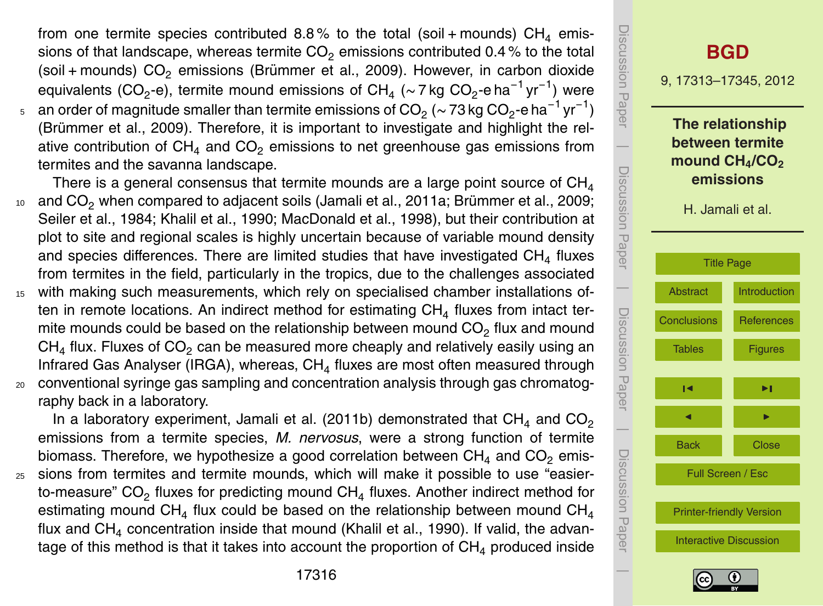from one termite species contributed 8.8% to the total (soil + mounds)  $CH<sub>4</sub>$  emissions of that landscape, whereas termite  $CO<sub>2</sub>$  emissions contributed 0.4% to the total (soil + mounds)  $CO<sub>2</sub>$  emissions (Brümmer et al., 2009). However, in carbon dioxide equivalents (CO<sub>2</sub>-e), termite mound emissions of CH<sub>4</sub> (~ 7 kg CO<sub>2</sub>-e ha<sup>-1</sup> yr<sup>-1</sup>) were

 $_{\rm 5}$   $\,$  an order of magnitude smaller than termite emissions of CO $_{\rm 2}$  ( $\sim$  73 kg CO $_{\rm 2}$ -e ha $^{-1}$  yr $^{-1})$ (Brümmer et al., 2009). Therefore, it is important to investigate and highlight the relative contribution of  $CH<sub>4</sub>$  and  $CO<sub>2</sub>$  emissions to net greenhouse gas emissions from termites and the savanna landscape.

There is a general consensus that termite mounds are a large point source of  $CH<sub>4</sub>$  $10$  and CO<sub>2</sub> when compared to adjacent soils (Jamali et al., 2011a; Brümmer et al., 2009; Seiler et al., 1984; Khalil et al., 1990; MacDonald et al., 1998), but their contribution at plot to site and regional scales is highly uncertain because of variable mound density and species differences. There are limited studies that have investigated CH<sub>4</sub> fluxes from termites in the field, particularly in the tropics, due to the challenges associated

<sup>15</sup> with making such measurements, which rely on specialised chamber installations often in remote locations. An indirect method for estimating  $CH<sub>4</sub>$  fluxes from intact termite mounds could be based on the relationship between mound  $CO<sub>2</sub>$  flux and mound CH<sub>4</sub> flux. Fluxes of CO<sub>2</sub> can be measured more cheaply and relatively easily using an Infrared Gas Analyser (IRGA), whereas,  $\textsf{CH}_4$  fluxes are most often measured through <sup>20</sup> conventional syringe gas sampling and concentration analysis through gas chromatog-

raphy back in a laboratory.

In a laboratory experiment, Jamali et al. (2011b) demonstrated that  $CH<sub>4</sub>$  and  $CO<sub>2</sub>$ emissions from a termite species, *M. nervosus*, were a strong function of termite biomass. Therefore, we hypothesize a good correlation between  $CH<sub>4</sub>$  and  $CO<sub>2</sub>$  emis-<sup>25</sup> sions from termites and termite mounds, which will make it possible to use "easierto-measure" CO<sub>2</sub> fluxes for predicting mound  $CH<sub>4</sub>$  fluxes. Another indirect method for estimating mound CH<sub>4</sub> flux could be based on the relationship between mound CH<sub>4</sub> flux and  $CH<sub>4</sub>$  concentration inside that mound (Khalil et al., 1990). If valid, the advantage of this method is that it takes into account the proportion of  $CH<sub>4</sub>$  produced inside

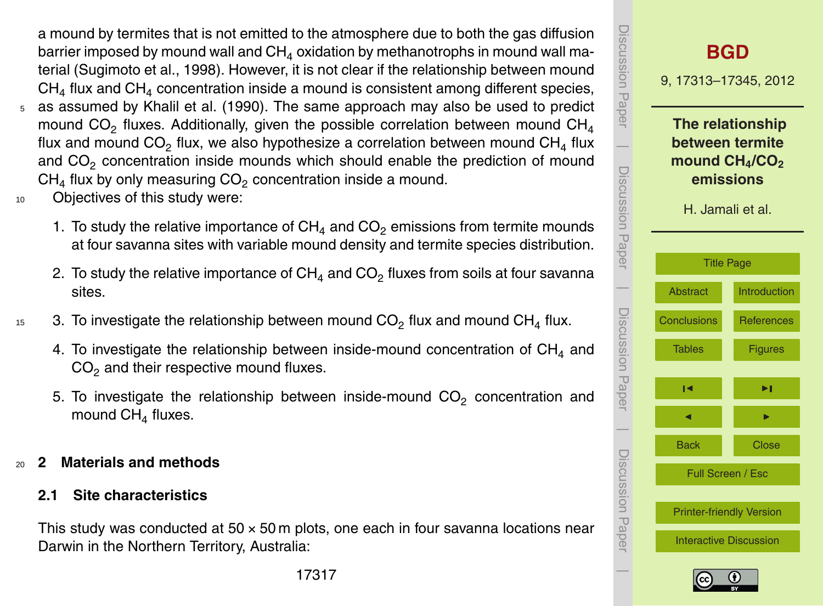a mound by termites that is not emitted to the atmosphere due to both the gas diffusion barrier imposed by mound wall and  $CH<sub>4</sub>$  oxidation by methanotrophs in mound wall material (Sugimoto et al., 1998). However, it is not clear if the relationship between mound  $CH<sub>4</sub>$  flux and  $CH<sub>4</sub>$  concentration inside a mound is consistent among different species, <sup>5</sup> as assumed by Khalil et al. (1990). The same approach may also be used to predict

- mound CO<sub>2</sub> fluxes. Additionally, given the possible correlation between mound  $CH<sub>4</sub>$ flux and mound  $CO<sub>2</sub>$  flux, we also hypothesize a correlation between mound  $CH<sub>4</sub>$  flux and CO<sub>2</sub> concentration inside mounds which should enable the prediction of mound  $CH<sub>4</sub>$  flux by only measuring  $CO<sub>2</sub>$  concentration inside a mound.
- <sup>10</sup> Objectives of this study were:
	- 1. To study the relative importance of  $CH<sub>4</sub>$  and  $CO<sub>2</sub>$  emissions from termite mounds at four savanna sites with variable mound density and termite species distribution.
	- 2. To study the relative importance of  $CH<sub>4</sub>$  and  $CO<sub>2</sub>$  fluxes from soils at four savanna sites.
- 15 3. To investigate the relationship between mound  $CO<sub>2</sub>$  flux and mound  $CH<sub>4</sub>$  flux.
	- 4. To investigate the relationship between inside-mound concentration of  $CH<sub>4</sub>$  and  $CO<sub>2</sub>$  and their respective mound fluxes.
	- 5. To investigate the relationship between inside-mound  $CO_2$  concentration and mound  $CH<sub>4</sub>$  fluxes.
- <sup>20</sup> **2 Materials and methods**
	- **2.1 Site characteristics**

This study was conducted at  $50 \times 50$  m plots, one each in four savanna locations near Darwin in the Northern Territory, Australia:



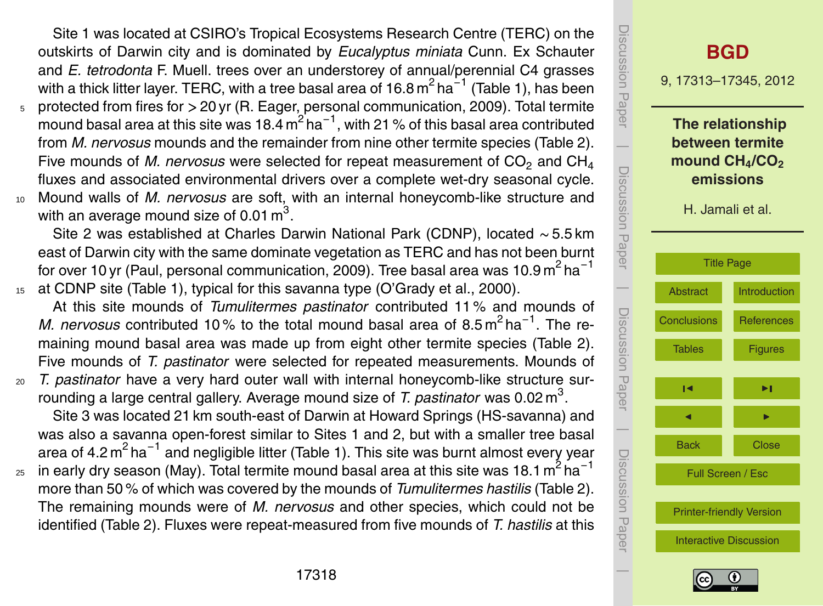Site 1 was located at CSIRO's Tropical Ecosystems Research Centre (TERC) on the outskirts of Darwin city and is dominated by *Eucalyptus miniata* Cunn. Ex Schauter and *E. tetrodonta* F. Muell. trees over an understorey of annual/perennial C4 grasses with a thick litter layer. TERC, with a tree basal area of 16.8  $\text{m}^2$  ha $^{-1}$  (Table 1), has been <sup>5</sup> protected from fires for *>* 20 yr (R. Eager, personal communication, 2009). Total termite

- mound basal area at this site was 18.4  $\text{m}^2$  ha $^{-1}$ , with 21 % of this basal area contributed from *M. nervosus* mounds and the remainder from nine other termite species (Table 2). Five mounds of *M. nervosus* were selected for repeat measurement of  $CO<sub>2</sub>$  and  $CH<sub>4</sub>$ fluxes and associated environmental drivers over a complete wet-dry seasonal cycle.
- <sup>10</sup> Mound walls of *M. nervosus* are soft, with an internal honeycomb-like structure and with an average mound size of 0.01  $\textsf{m}^{3}.$

Site 2 was established at Charles Darwin National Park (CDNP), located ∼ 5.5 km east of Darwin city with the same dominate vegetation as TERC and has not been burnt for over 10 yr (Paul, personal communication, 2009). Tree basal area was 10.9 m<sup>2</sup> ha<sup>-1</sup> <sup>15</sup> at CDNP site (Table 1), typical for this savanna type (O'Grady et al., 2000).

At this site mounds of *Tumulitermes pastinator* contributed 11 % and mounds of *M. nervosus* contributed 10% to the total mound basal area of 8.5m<sup>2</sup> ha<sup>-1</sup>. The remaining mound basal area was made up from eight other termite species (Table 2). Five mounds of *T. pastinator* were selected for repeated measurements. Mounds of <sup>20</sup> *T. pastinator* have a very hard outer wall with internal honeycomb-like structure sur-

rounding a large central gallery. Average mound size of *T. pastinator* was 0.02 m<sup>3</sup>. Site 3 was located 21 km south-east of Darwin at Howard Springs (HS-savanna) and was also a savanna open-forest similar to Sites 1 and 2, but with a smaller tree basal area of 4.2 m<sup>2</sup> ha<sup>-1</sup> and negligible litter (Table 1). This site was burnt almost every year

in early dry season (May). Total termite mound basal area at this site was 18.1 m<sup>2</sup> ha<sup>-1</sup> 25 more than 50 % of which was covered by the mounds of *Tumulitermes hastilis* (Table 2). The remaining mounds were of *M. nervosus* and other species, which could not be identified (Table 2). Fluxes were repeat-measured from five mounds of *T. hastilis* at this



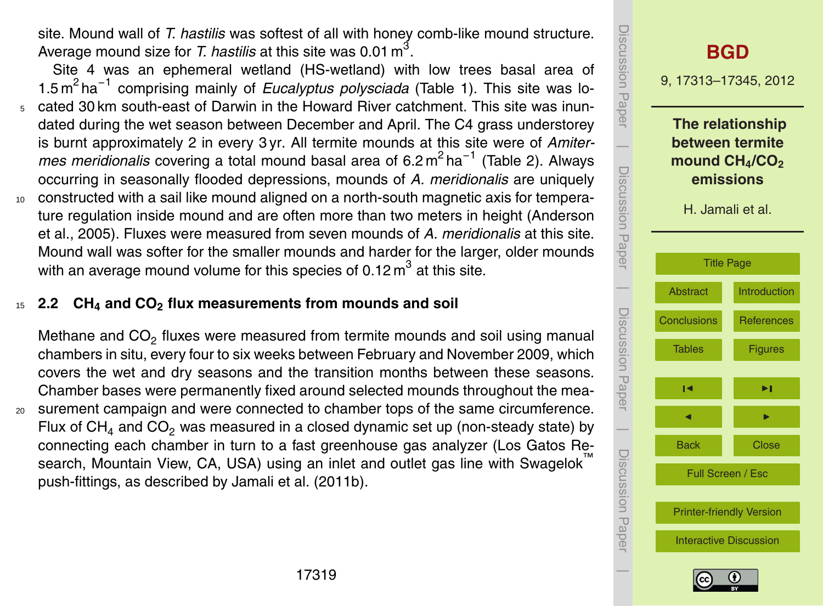site. Mound wall of *T. hastilis* was softest of all with honey comb-like mound structure. Average mound size for *T. hastilis* at this site was 0.01  $m^3$ .

Site 4 was an ephemeral wetland (HS-wetland) with low trees basal area of 1.5 m<sup>2</sup> ha<sup>-1</sup> comprising mainly of *Eucalyptus polysciada* (Table 1). This site was lo-<sup>5</sup> cated 30 km south-east of Darwin in the Howard River catchment. This site was inundated during the wet season between December and April. The C4 grass understorey is burnt approximately 2 in every 3 yr. All termite mounds at this site were of *Amiter*mes meridionalis covering a total mound basal area of 6.2 m<sup>2</sup> ha<sup>-1</sup> (Table 2). Always occurring in seasonally flooded depressions, mounds of *A. meridionalis* are uniquely <sup>10</sup> constructed with a sail like mound aligned on a north-south magnetic axis for temperature regulation inside mound and are often more than two meters in height (Anderson et al., 2005). Fluxes were measured from seven mounds of *A. meridionalis* at this site.

Mound wall was softer for the smaller mounds and harder for the larger, older mounds with an average mound volume for this species of 0.12  $m^3$  at this site.

# <sup>15</sup> **2.2 CH<sup>4</sup> and CO<sup>2</sup> flux measurements from mounds and soil**

Methane and  $CO<sub>2</sub>$  fluxes were measured from termite mounds and soil using manual chambers in situ, every four to six weeks between February and November 2009, which covers the wet and dry seasons and the transition months between these seasons. Chamber bases were permanently fixed around selected mounds throughout the mea-<sup>20</sup> surement campaign and were connected to chamber tops of the same circumference. Flux of  $CH<sub>4</sub>$  and  $CO<sub>2</sub>$  was measured in a closed dynamic set up (non-steady state) by connecting each chamber in turn to a fast greenhouse gas analyzer (Los Gatos Research, Mountain View, CA, USA) using an inlet and outlet gas line with Swagelok push-fittings, as described by Jamali et al. (2011b).



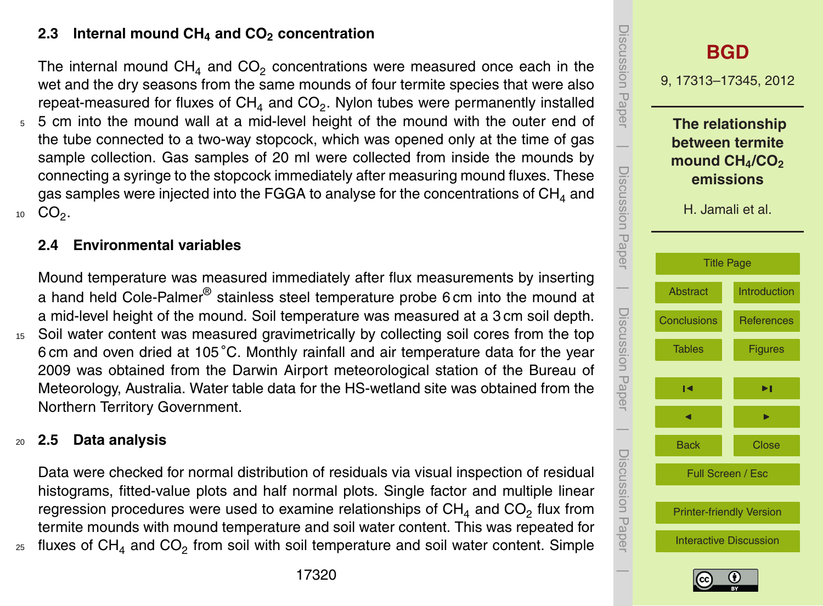## **2.3 Internal mound CH<sup>4</sup> and CO<sup>2</sup> concentration**

The internal mound  $CH<sub>4</sub>$  and  $CO<sub>2</sub>$  concentrations were measured once each in the wet and the dry seasons from the same mounds of four termite species that were also repeat-measured for fluxes of CH<sub>4</sub> and CO<sub>2</sub>. Nylon tubes were permanently installed

<sup>5</sup> 5 cm into the mound wall at a mid-level height of the mound with the outer end of the tube connected to a two-way stopcock, which was opened only at the time of gas sample collection. Gas samples of 20 ml were collected from inside the mounds by connecting a syringe to the stopcock immediately after measuring mound fluxes. These gas samples were injected into the FGGA to analyse for the concentrations of  $CH<sub>4</sub>$  and 10  $CO<sub>2</sub>$ .

#### **2.4 Environmental variables**

Mound temperature was measured immediately after flux measurements by inserting a hand held Cole-Palmer® stainless steel temperature probe 6 cm into the mound at a mid-level height of the mound. Soil temperature was measured at a 3 cm soil depth.

<sup>15</sup> Soil water content was measured gravimetrically by collecting soil cores from the top 6 cm and oven dried at 105 °C. Monthly rainfall and air temperature data for the year 2009 was obtained from the Darwin Airport meteorological station of the Bureau of Meteorology, Australia. Water table data for the HS-wetland site was obtained from the Northern Territory Government.

#### <sup>20</sup> **2.5 Data analysis**

Data were checked for normal distribution of residuals via visual inspection of residual histograms, fitted-value plots and half normal plots. Single factor and multiple linear regression procedures were used to examine relationships of  $CH<sub>4</sub>$  and  $CO<sub>2</sub>$  flux from termite mounds with mound temperature and soil water content. This was repeated for  $_{\rm z5}$  fluxes of CH<sub>4</sub> and CO<sub>2</sub> from soil with soil temperature and soil water content. Simple



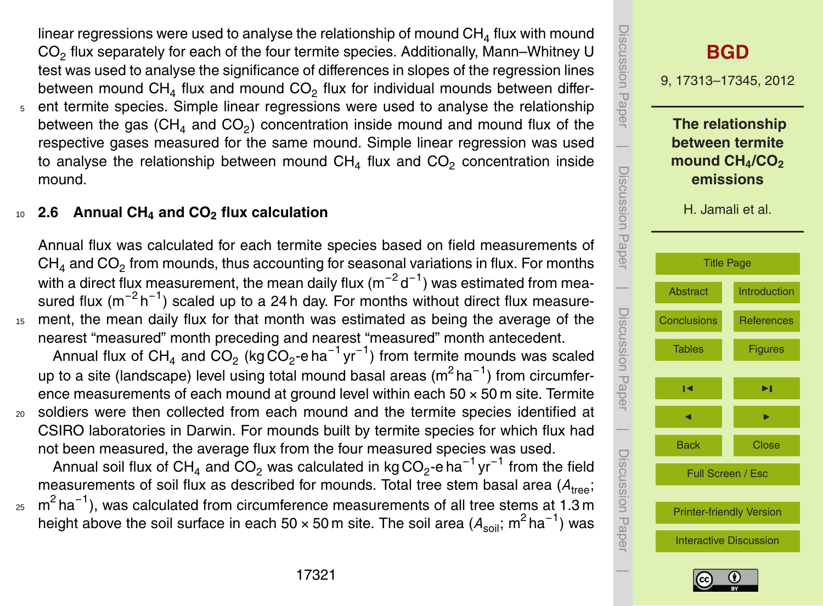linear regressions were used to analyse the relationship of mound  $CH<sub>4</sub>$  flux with mound  $CO<sub>2</sub>$  flux separately for each of the four termite species. Additionally, Mann–Whitney U test was used to analyse the significance of differences in slopes of the regression lines between mound  $CH<sub>4</sub>$  flux and mound  $CO<sub>2</sub>$  flux for individual mounds between differ-<sup>5</sup> ent termite species. Simple linear regressions were used to analyse the relationship between the gas (CH<sub>4</sub> and CO<sub>2</sub>) concentration inside mound and mound flux of the respective gases measured for the same mound. Simple linear regression was used to analyse the relationship between mound  $CH_4$  flux and  $CO_2$  concentration inside

#### mound.

# <sup>10</sup> **2.6 Annual CH<sup>4</sup> and CO<sup>2</sup> flux calculation**

Annual flux was calculated for each termite species based on field measurements of  $\textsf{CH}_4$  and  $\textsf{CO}_2$  from mounds, thus accounting for seasonal variations in flux. For months with a direct flux measurement, the mean daily flux (m $^{-2}$ d $^{-1}$ ) was estimated from measured flux (m<sup>-2</sup>h<sup>-1</sup>) scaled up to a 24 h day. For months without direct flux measure-<sup>15</sup> ment, the mean daily flux for that month was estimated as being the average of the nearest "measured" month preceding and nearest "measured" month antecedent. Annual flux of CH<sub>4</sub> and CO<sub>2</sub> (kg CO<sub>2</sub>-e ha<sup>-1</sup> yr<sup>-1</sup>) from termite mounds was scaled up to a site (landscape) level using total mound basal areas (m<sup>2</sup> ha<sup>-1</sup>) from circumference measurements of each mound at ground level within each  $50 \times 50$  m site. Termite <sup>20</sup> soldiers were then collected from each mound and the termite species identified at CSIRO laboratories in Darwin. For mounds built by termite species for which flux had not been measured, the average flux from the four measured species was used.

Annual soil flux of CH<sub>4</sub> and CO<sub>2</sub> was calculated in kg CO<sub>2</sub>-e ha<sup>-1</sup> yr<sup>-1</sup> from the field measurements of soil flux as described for mounds. Total tree stem basal area  $(A_{\text{tree}})$ ;  $_{\rm z5}$   $\,$  m $^{2}$  ha $^{-1}$ ), was calculated from circumference measurements of all tree stems at 1.3 m





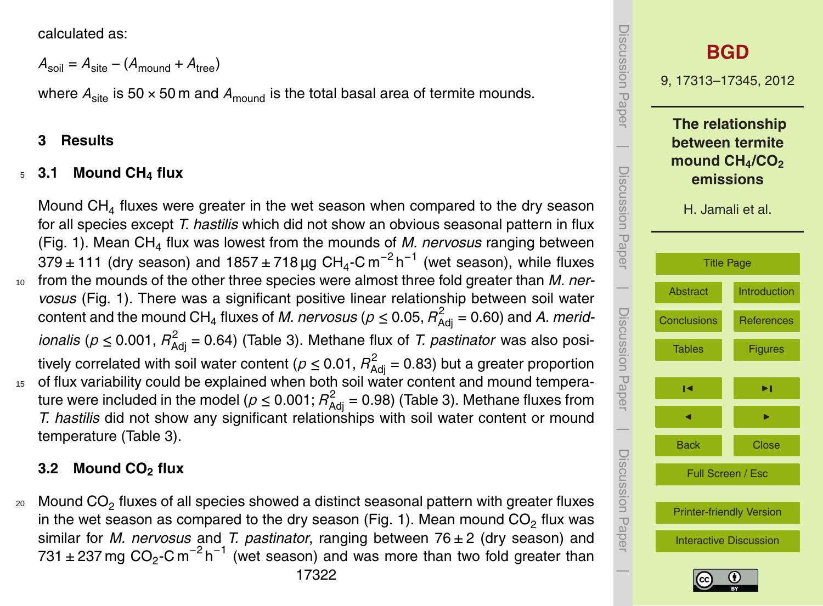calculated as:

$$
A_{\text{soil}} = A_{\text{site}} - (A_{\text{mound}} + A_{\text{tree}})
$$

where  $A_{\text{site}}$  is 50  $\times$  50 m and  $A_{\text{model}}$  is the total basal area of termite mounds.

#### **3 Results**

# <sup>5</sup> **3.1 Mound CH<sup>4</sup> flux**

Mound  $CH<sub>4</sub>$  fluxes were greater in the wet season when compared to the dry season for all species except *T. hastilis* which did not show an obvious seasonal pattern in flux (Fig. 1). Mean CH<sup>4</sup> flux was lowest from the mounds of *M. nervosus* ranging between 379±111 (dry season) and 1857±718µg CH<sub>4</sub>-Cm<sup>-2</sup>h<sup>-1</sup> (wet season), while fluxes <sup>10</sup> from the mounds of the other three species were almost three fold greater than *M. nervosus* (Fig. 1). There was a significant positive linear relationship between soil water content and the mound CH<sub>4</sub> fluxes of *M. nervosus* ( $p \leq$  0.05,  $R^2_{\sf Adj}$  = 0.60) and *A. meridionalis* ( $p \le 0.001$ ,  $R^2_{\text{Adj}}$  = 0.64) (Table 3). Methane flux of *T. pastinator* was also positively correlated with soil water content ( $\rho$   $\leq$  0.01,  $R_\mathrm{Adj}^2$  = 0.83) but a greater proportion of flux variability could be explained when both soil water content and mound temperature were included in the model ( $\rho \leq$  0.001;  $R^2_\mathrm{Adj}=$  0.98) (Table 3). Methane fluxes from *T. hastilis* did not show any significant relationships with soil water content or mound temperature (Table 3).

#### **3.2 Mound CO<sup>2</sup> flux**

20 Mound CO<sub>2</sub> fluxes of all species showed a distinct seasonal pattern with greater fluxes in the wet season as compared to the dry season (Fig. 1). Mean mound CO $_2$  flux was similar for *M. nervosus* and *T. pastinator*, ranging between 76 ± 2 (dry season) and 731 ± 237 mg  $CO_2$ -C m<sup>-2</sup> h<sup>-1</sup> (wet season) and was more than two fold greater than



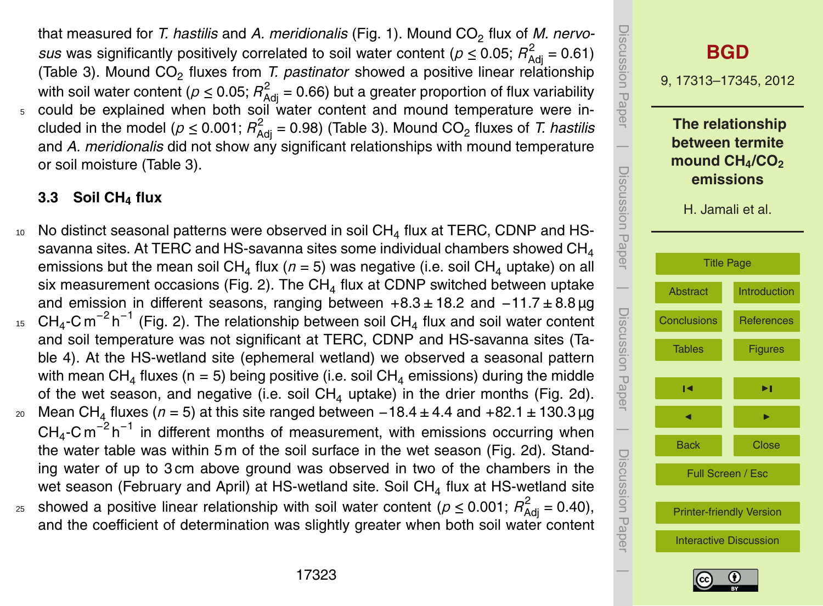that measured for *T. hastilis* and *A. meridionalis* (Fig. 1). Mound CO<sub>2</sub> flux of *M. nervosus* was significantly positively correlated to soil water content ( $p \le 0.05$ ;  $R^2_{\text{Adj}} = 0.61$ ) (Table 3). Mound CO<sub>2</sub> fluxes from *T. pastinator* showed a positive linear relationship with soil water content ( $\rho \leq$  0.05;  $R^2_{\text{Adj}}$  = 0.66) but a greater proportion of flux variability could be explained when both soil water content and mound temperature were included in the model ( $\rho \leq$  0.001;  $R^2_{\sf Adj}$  = 0.98) (Table 3). Mound CO<sub>2</sub> fluxes of *T. hastilis* and *A. meridionalis* did not show any significant relationships with mound temperature or soil moisture (Table 3).

# **3.3 Soil CH<sup>4</sup> flux**

- $10$  No distinct seasonal patterns were observed in soil CH<sub>4</sub> flux at TERC, CDNP and HSsavanna sites. At TERC and HS-savanna sites some individual chambers showed  $CH<sub>4</sub>$ emissions but the mean soil CH<sub>4</sub> flux ( $n$  = 5) was negative (i.e. soil CH<sub>4</sub> uptake) on all six measurement occasions (Fig. 2). The  $CH<sub>4</sub>$  flux at CDNP switched between uptake and emission in different seasons, ranging between +8.3 ± 18.2 and −11.7 ± 8.8 µg  $15$  CH<sub>4</sub>-C m<sup>-2</sup> h<sup>-1</sup> (Fig. 2). The relationship between soil CH<sub>4</sub> flux and soil water content and soil temperature was not significant at TERC, CDNP and HS-savanna sites (Table 4). At the HS-wetland site (ephemeral wetland) we observed a seasonal pattern with mean CH<sub>4</sub> fluxes (n = 5) being positive (i.e. soil CH<sub>4</sub> emissions) during the middle of the wet season, and negative (i.e. soil  $CH<sub>4</sub>$  uptake) in the drier months (Fig. 2d). 20 Mean CH<sub>4</sub> fluxes (*n* = 5) at this site ranged between −18.4 ± 4.4 and +82.1 ± 130.3 µg  $CH_4$ -Cm<sup>-2</sup>h<sup>-1</sup> in different months of measurement, with emissions occurring when the water table was within 5 m of the soil surface in the wet season (Fig. 2d). Standing water of up to 3 cm above ground was observed in two of the chambers in the wet season (February and April) at HS-wetland site. Soil CH<sub>4</sub> flux at HS-wetland site
- <sup>25</sup> showed a positive linear relationship with soil water content ( $p \le 0.001$ ;  $R^2_{\text{Adj}} = 0.40$ ), and the coefficient of determination was slightly greater when both soil water content



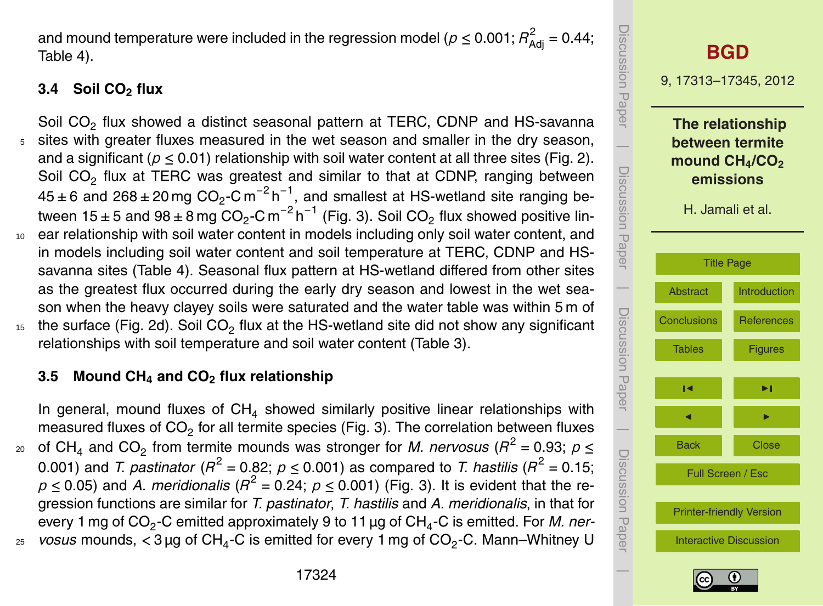and mound temperature were included in the regression model ( $\rho \leq$  0.001;  $R^2_{\sf Adj}$  = 0.44; Table 4).

# **3.4 Soil CO<sup>2</sup> flux**

Soil CO<sub>2</sub> flux showed a distinct seasonal pattern at TERC, CDNP and HS-savanna sites with greater fluxes measured in the wet season and smaller in the dry season, and a significant ( $p \le 0.01$ ) relationship with soil water content at all three sites (Fig. 2). Soil CO<sub>2</sub> flux at TERC was greatest and similar to that at CDNP, ranging between 45 ± 6 and 268 ± 20 mg CO<sub>2</sub>-C m<sup>-2</sup> h<sup>-1</sup>, and smallest at HS-wetland site ranging between 15±5 and 98±8 mg CO<sub>2</sub>-C m<sup>−2</sup> h<sup>−1</sup> (Fig. 3). Soil CO<sub>2</sub> flux showed positive lin-<sup>10</sup> ear relationship with soil water content in models including only soil water content, and

- in models including soil water content and soil temperature at TERC, CDNP and HSsavanna sites (Table 4). Seasonal flux pattern at HS-wetland differed from other sites as the greatest flux occurred during the early dry season and lowest in the wet season when the heavy clayey soils were saturated and the water table was within 5 m of
- $15$  the surface (Fig. 2d). Soil CO<sub>2</sub> flux at the HS-wetland site did not show any significant relationships with soil temperature and soil water content (Table 3).

# **3.5 Mound CH<sup>4</sup> and CO<sup>2</sup> flux relationship**

In general, mound fluxes of  $CH<sub>4</sub>$  showed similarly positive linear relationships with measured fluxes of CO<sub>2</sub> for all termite species (Fig. 3). The correlation between fluxes <sup>20</sup> of CH<sub>4</sub> and CO<sub>2</sub> from termite mounds was stronger for *M. nervosus* ( $R^2$  = 0.93;  $p \leq$ 0.001) and *T. pastinator* ( $R^2$  = 0.82;  $p \leq$  0.001) as compared to *T. hastilis* ( $R^2$  = 0.15;  $p \le 0.05$ ) and *A. meridionalis* ( $R^2$  = 0.24;  $p \le 0.001$ ) (Fig. 3). It is evident that the regression functions are similar for *T. pastinator*, *T. hastilis* and *A. meridionalis*, in that for every 1 mg of CO<sub>2</sub>-C emitted approximately 9 to 11 μg of CH<sub>4</sub>-C is emitted. For *M. ner-* $_{\rm z5-}$  *vosus* mounds,  $<$  3  $\rm \mu g$  of CH<sub>4</sub>-C is emitted for every 1 mg of CO<sub>2</sub>-C. Mann–Whitney U



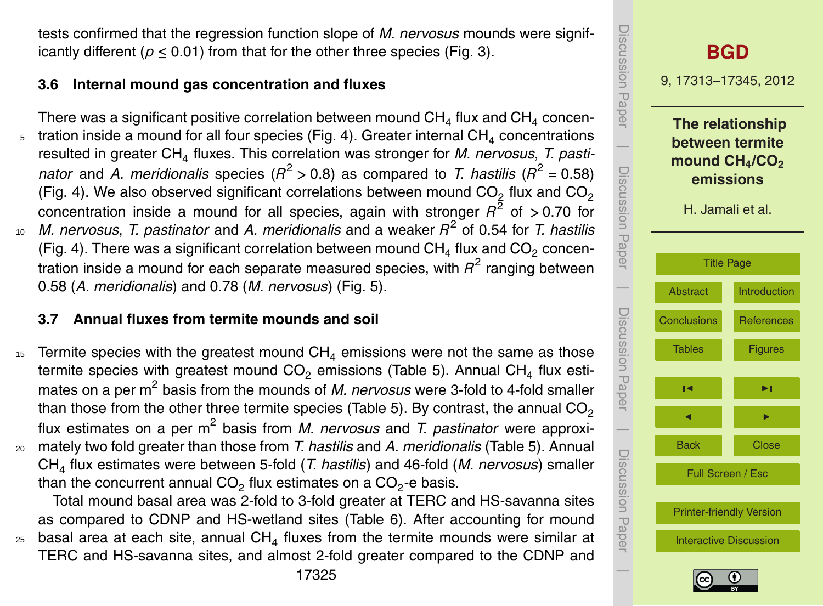tests confirmed that the regression function slope of *M. nervosus* mounds were significantly different ( $p < 0.01$ ) from that for the other three species (Fig. 3).

# **3.6 Internal mound gas concentration and fluxes**

There was a significant positive correlation between mound CH $_4$  flux and CH $_4$  concentration inside a mound for all four species (Fig. 4). Greater internal  $CH<sub>4</sub>$  concentrations resulted in greater CH<sup>4</sup> fluxes. This correlation was stronger for *M. nervosus*, *T. pastinator* and *A. meridionalis* species ( $R^2 > 0.8$ ) as compared to *T. hastilis* ( $R^2 = 0.58$ ) (Fig. 4). We also observed significant correlations between mound  $CO<sub>2</sub>$  flux and  $CO<sub>2</sub>$ concentration inside a mound for all species, again with stronger  $R^2$  of > 0.70 for <sup>10</sup> M. nervosus, T. pastinator and A. meridionalis and a weaker  $R^2$  of 0.54 for T. hastilis (Fig. 4). There was a significant correlation between mound  $CH<sub>4</sub>$  flux and  $CO<sub>2</sub>$  concentration inside a mound for each separate measured species, with  $R^2$  ranging between 0.58 (*A. meridionalis*) and 0.78 (*M. nervosus*) (Fig. 5).

# **3.7 Annual fluxes from termite mounds and soil**

15 Termite species with the greatest mound  $CH_4$  emissions were not the same as those termite species with greatest mound  $CO<sub>2</sub>$  emissions (Table 5). Annual CH<sub>4</sub> flux estimates on a per m<sup>2</sup> basis from the mounds of *M. nervosus* were 3-fold to 4-fold smaller than those from the other three termite species (Table 5). By contrast, the annual  $CO<sub>2</sub>$ flux estimates on a per m<sup>2</sup> basis from *M. nervosus* and *T. pastinator* were approxi-<sup>20</sup> mately two fold greater than those from *T. hastilis* and *A. meridionalis* (Table 5). Annual CH<sup>4</sup> flux estimates were between 5-fold (*T. hastilis*) and 46-fold (*M. nervosus*) smaller than the concurrent annual CO<sub>2</sub> flux estimates on a CO<sub>2</sub>-e basis.

Total mound basal area was 2-fold to 3-fold greater at TERC and HS-savanna sites as compared to CDNP and HS-wetland sites (Table 6). After accounting for mound  $25$  basal area at each site, annual CH<sub>4</sub> fluxes from the termite mounds were similar at TERC and HS-savanna sites, and almost 2-fold greater compared to the CDNP and

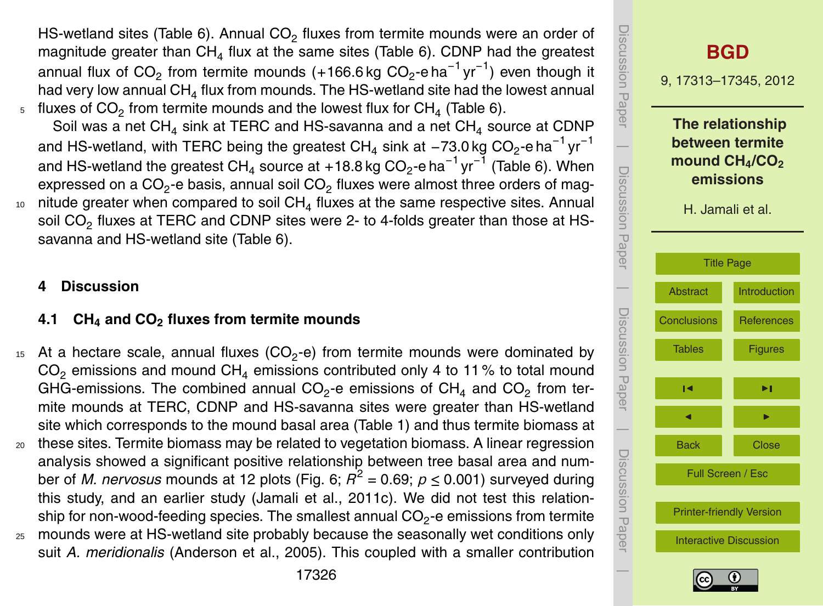HS-wetland sites (Table 6). Annual  $CO<sub>2</sub>$  fluxes from termite mounds were an order of magnitude greater than  $CH<sub>4</sub>$  flux at the same sites (Table 6). CDNP had the greatest annual flux of CO<sub>2</sub> from termite mounds (+166.6 kg CO<sub>2</sub>-e ha<sup>-1</sup> yr<sup>-1</sup>) even though it had very low annual  $CH_4$  flux from mounds. The HS-wetland site had the lowest annual  $_5$  fluxes of CO<sub>2</sub> from termite mounds and the lowest flux for CH<sub>4</sub> (Table 6).

Soil was a net CH<sub>4</sub> sink at TERC and HS-savanna and a net CH<sub>4</sub> source at CDNP and HS-wetland, with TERC being the greatest CH<sub>4</sub> sink at −73.0 kg CO<sub>2</sub>-e ha $^{-1}$ yr $^{-1}$ and HS-wetland the greatest CH<sub>4</sub> source at +18.8 kg CO<sub>2</sub>-e ha $^{-1}$  yr $^{-1}$  (Table 6). When expressed on a CO<sub>2</sub>-e basis, annual soil CO<sub>2</sub> fluxes were almost three orders of mag- $_{\rm 10}$   $\,$  nitude greater when compared to soil CH $_4$  fluxes at the same respective sites. Annual soil CO<sub>2</sub> fluxes at TERC and CDNP sites were 2- to 4-folds greater than those at HSsavanna and HS-wetland site (Table 6).

#### **4 Discussion**

## **4.1 CH<sup>4</sup> and CO<sup>2</sup> fluxes from termite mounds**

 $15$  At a hectare scale, annual fluxes (CO<sub>2</sub>-e) from termite mounds were dominated by  $CO<sub>2</sub>$  emissions and mound  $CH<sub>4</sub>$  emissions contributed only 4 to 11% to total mound GHG-emissions. The combined annual CO<sub>2</sub>-e emissions of CH<sub>4</sub> and CO<sub>2</sub> from termite mounds at TERC, CDNP and HS-savanna sites were greater than HS-wetland site which corresponds to the mound basal area (Table 1) and thus termite biomass at <sup>20</sup> these sites. Termite biomass may be related to vegetation biomass. A linear regression analysis showed a significant positive relationship between tree basal area and number of *M. nervosus* mounds at 12 plots (Fig. 6;  $R^2$  = 0.69;  $p \leq$  0.001) surveyed during this study, and an earlier study (Jamali et al., 2011c). We did not test this relationship for non-wood-feeding species. The smallest annual CO $_2$ -e emissions from termite <sup>25</sup> mounds were at HS-wetland site probably because the seasonally wet conditions only





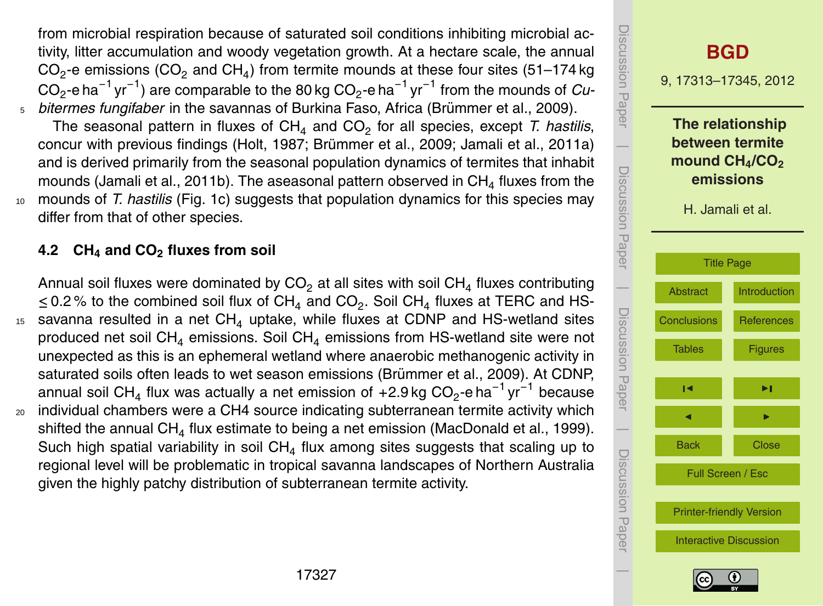from microbial respiration because of saturated soil conditions inhibiting microbial activity, litter accumulation and woody vegetation growth. At a hectare scale, the annual CO<sub>2</sub>-e emissions (CO<sub>2</sub> and CH<sub>4</sub>) from termite mounds at these four sites (51–174 kg CO<sub>2</sub>-e ha $^{-1}$  yr $^{-1}$ ) are comparable to the 80 kg CO<sub>2</sub>-e ha $^{-1}$  yr $^{-1}$  from the mounds of *Cu*bitermes fungifaber in the savannas of Burkina Faso, Africa (Brümmer et al., 2009).

The seasonal pattern in fluxes of CH<sub>4</sub> and CO<sub>2</sub> for all species, except *T. hastilis*, concur with previous findings (Holt, 1987; Brümmer et al., 2009; Jamali et al., 2011a) and is derived primarily from the seasonal population dynamics of termites that inhabit mounds (Jamali et al., 2011b). The aseasonal pattern observed in  $CH<sub>4</sub>$  fluxes from the <sup>10</sup> mounds of *T. hastilis* (Fig. 1c) suggests that population dynamics for this species may differ from that of other species.

## **4.2 CH<sup>4</sup> and CO<sup>2</sup> fluxes from soil**

Annual soil fluxes were dominated by  $CO<sub>2</sub>$  at all sites with soil  $CH<sub>4</sub>$  fluxes contributing ≤ 0.2 % to the combined soil flux of CH<sub>4</sub> and CO<sub>2</sub>. Soil CH<sub>4</sub> fluxes at TERC and HS- $15$  savanna resulted in a net CH<sub>4</sub> uptake, while fluxes at CDNP and HS-wetland sites produced net soil  $CH<sub>4</sub>$  emissions. Soil  $CH<sub>4</sub>$  emissions from HS-wetland site were not unexpected as this is an ephemeral wetland where anaerobic methanogenic activity in saturated soils often leads to wet season emissions (Brümmer et al., 2009). At CDNP, annual soil CH<sub>4</sub> flux was actually a net emission of +2.9 kg CO<sub>2</sub>-e ha<sup>-1</sup> yr<sup>-1</sup> because <sup>20</sup> individual chambers were a CH4 source indicating subterranean termite activity which shifted the annual CH $_4$  flux estimate to being a net emission (MacDonald et al., 1999). Such high spatial variability in soil CH<sub>4</sub> flux among sites suggests that scaling up to

regional level will be problematic in tropical savanna landscapes of Northern Australia given the highly patchy distribution of subterranean termite activity.



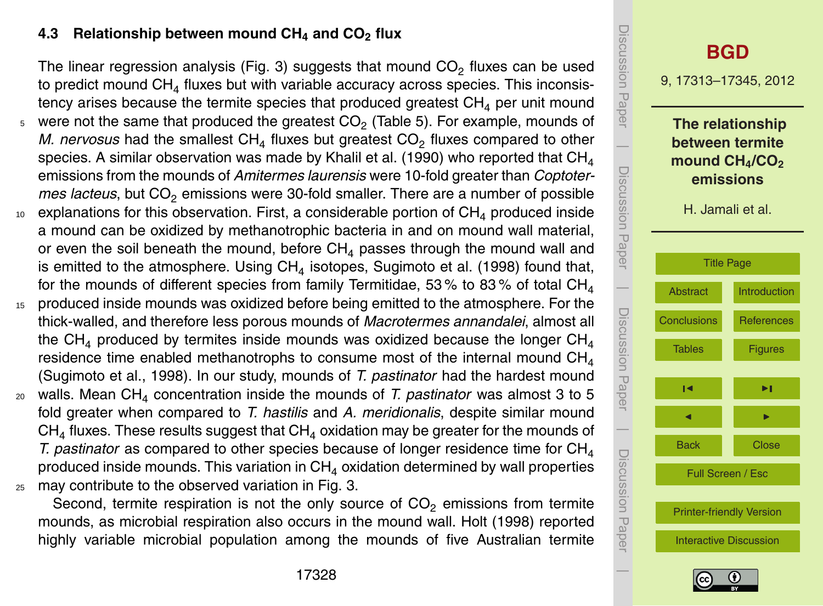## **4.3 Relationship between mound CH<sup>4</sup> and CO<sup>2</sup> flux**

The linear regression analysis (Fig. 3) suggests that mound  $CO<sub>2</sub>$  fluxes can be used to predict mound CH<sub>4</sub> fluxes but with variable accuracy across species. This inconsistency arises because the termite species that produced greatest  $CH<sub>4</sub>$  per unit mound  $_5$  were not the same that produced the greatest CO<sub>2</sub> (Table 5). For example, mounds of *M. nervosus* had the smallest  $CH<sub>4</sub>$  fluxes but greatest  $CO<sub>2</sub>$  fluxes compared to other species. A similar observation was made by Khalil et al. (1990) who reported that  $CH<sub>4</sub>$ emissions from the mounds of *Amitermes laurensis* were 10-fold greater than *Coptotermes lacteus*, but CO<sub>2</sub> emissions were 30-fold smaller. There are a number of possible  $10$  explanations for this observation. First, a considerable portion of CH<sub>4</sub> produced inside a mound can be oxidized by methanotrophic bacteria in and on mound wall material, or even the soil beneath the mound, before  $CH<sub>4</sub>$  passes through the mound wall and is emitted to the atmosphere. Using  $\mathsf{CH}_4$  isotopes, Sugimoto et al. (1998) found that, for the mounds of different species from family Termitidae, 53% to 83% of total  $CH<sub>4</sub>$ 15 produced inside mounds was oxidized before being emitted to the atmosphere. For the thick-walled, and therefore less porous mounds of *Macrotermes annandalei*, almost all the CH<sub>4</sub> produced by termites inside mounds was oxidized because the longer CH<sub>4</sub> residence time enabled methanotrophs to consume most of the internal mound  $CH<sub>4</sub>$ (Sugimoto et al., 1998). In our study, mounds of *T. pastinator* had the hardest mound

<sup>20</sup> walls. Mean CH<sup>4</sup> concentration inside the mounds of *T. pastinator* was almost 3 to 5 fold greater when compared to *T. hastilis* and *A. meridionalis*, despite similar mound  $CH<sub>4</sub>$  fluxes. These results suggest that  $CH<sub>4</sub>$  oxidation may be greater for the mounds of *T. pastinator* as compared to other species because of longer residence time for  $CH<sub>4</sub>$ produced inside mounds. This variation in  $CH<sub>4</sub>$  oxidation determined by wall properties <sup>25</sup> may contribute to the observed variation in Fig. 3.

Second, termite respiration is not the only source of  $CO<sub>2</sub>$  emissions from termite mounds, as microbial respiration also occurs in the mound wall. Holt (1998) reported highly variable microbial population among the mounds of five Australian termite



![](_page_15_Picture_5.jpeg)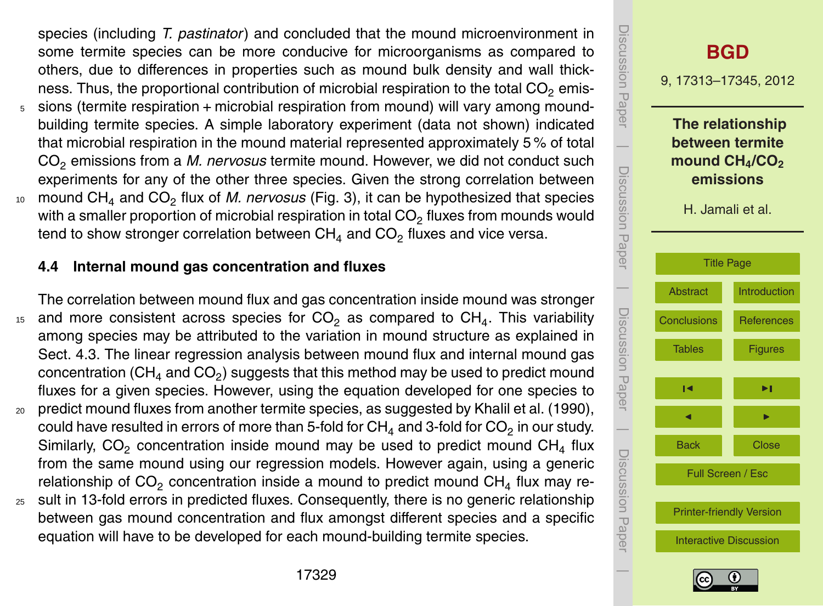species (including *T. pastinator*) and concluded that the mound microenvironment in some termite species can be more conducive for microorganisms as compared to others, due to differences in properties such as mound bulk density and wall thickness. Thus, the proportional contribution of microbial respiration to the total  $CO<sub>2</sub>$  emis-

- <sup>5</sup> sions (termite respiration + microbial respiration from mound) will vary among moundbuilding termite species. A simple laboratory experiment (data not shown) indicated that microbial respiration in the mound material represented approximately 5 % of total CO<sup>2</sup> emissions from a *M. nervosus* termite mound. However, we did not conduct such experiments for any of the other three species. Given the strong correlation between
- <sup>10</sup> mound CH<sub>4</sub> and CO<sub>2</sub> flux of *M. nervosus* (Fig. 3), it can be hypothesized that species with a smaller proportion of microbial respiration in total CO $_2$  fluxes from mounds would tend to show stronger correlation between  $CH<sub>4</sub>$  and  $CO<sub>2</sub>$  fluxes and vice versa.

#### **4.4 Internal mound gas concentration and fluxes**

The correlation between mound flux and gas concentration inside mound was stronger  $15$  and more consistent across species for CO<sub>2</sub> as compared to CH<sub>4</sub>. This variability among species may be attributed to the variation in mound structure as explained in Sect. 4.3. The linear regression analysis between mound flux and internal mound gas concentration (CH $_4$  and CO $_2$ ) suggests that this method may be used to predict mound fluxes for a given species. However, using the equation developed for one species to <sup>20</sup> predict mound fluxes from another termite species, as suggested by Khalil et al. (1990),

- could have resulted in errors of more than 5-fold for CH $_4$  and 3-fold for CO $_2$  in our study. Similarly,  $CO<sub>2</sub>$  concentration inside mound may be used to predict mound  $CH<sub>4</sub>$  flux from the same mound using our regression models. However again, using a generic relationship of  $CO<sub>2</sub>$  concentration inside a mound to predict mound  $CH<sub>4</sub>$  flux may re-
- $25$  sult in 13-fold errors in predicted fluxes. Consequently, there is no generic relationship between gas mound concentration and flux amongst different species and a specific equation will have to be developed for each mound-building termite species.

![](_page_16_Picture_7.jpeg)

![](_page_16_Picture_8.jpeg)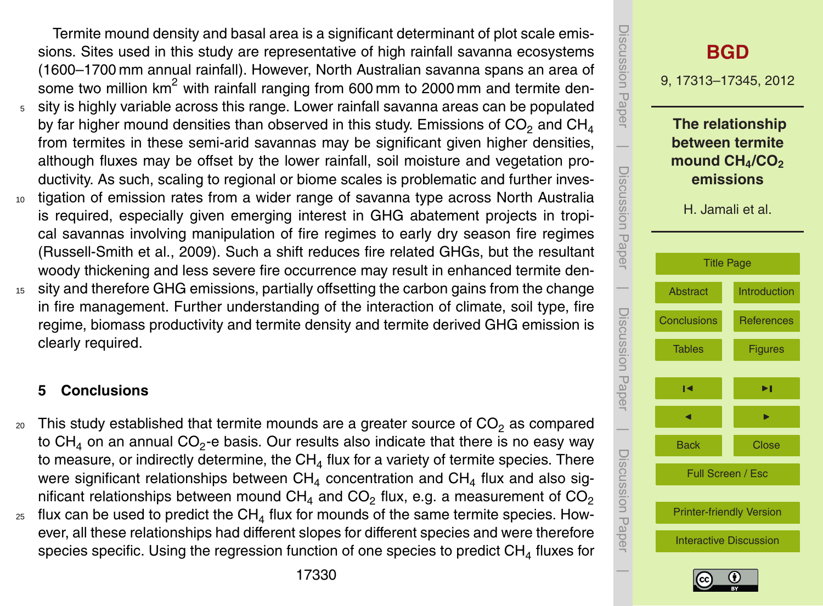<span id="page-17-0"></span>Termite mound density and basal area is a significant determinant of plot scale emissions. Sites used in this study are representative of high rainfall savanna ecosystems (1600–1700 mm annual rainfall). However, North Australian savanna spans an area of some two million  $km^2$  with rainfall ranging from 600 mm to 2000 mm and termite den-<sup>5</sup> sity is highly variable across this range. Lower rainfall savanna areas can be populated by far higher mound densities than observed in this study. Emissions of  $CO<sub>2</sub>$  and  $CH<sub>4</sub>$ from termites in these semi-arid savannas may be significant given higher densities, although fluxes may be offset by the lower rainfall, soil moisture and vegetation productivity. As such, scaling to regional or biome scales is problematic and further inves-<sup>10</sup> tigation of emission rates from a wider range of savanna type across North Australia

- is required, especially given emerging interest in GHG abatement projects in tropical savannas involving manipulation of fire regimes to early dry season fire regimes (Russell-Smith et al., 2009). Such a shift reduces fire related GHGs, but the resultant woody thickening and less severe fire occurrence may result in enhanced termite den-
- <sup>15</sup> sity and therefore GHG emissions, partially offsetting the carbon gains from the change in fire management. Further understanding of the interaction of climate, soil type, fire regime, biomass productivity and termite density and termite derived GHG emission is clearly required.

# **5 Conclusions**

- $20$  This study established that termite mounds are a greater source of  $CO<sub>2</sub>$  as compared to CH<sub>4</sub> on an annual CO<sub>2</sub>-e basis. Our results also indicate that there is no easy way to measure, or indirectly determine, the  $CH<sub>4</sub>$  flux for a variety of termite species. There were significant relationships between  $CH<sub>4</sub>$  concentration and  $CH<sub>4</sub>$  flux and also significant relationships between mound  $CH<sub>4</sub>$  and  $CO<sub>2</sub>$  flux, e.g. a measurement of  $CO<sub>2</sub>$
- $_{\rm z5}$  flux can be used to predict the CH $_4$  flux for mounds of the same termite species. However, all these relationships had different slopes for different species and were therefore species specific. Using the regression function of one species to predict  $CH<sub>4</sub>$  fluxes for

![](_page_17_Figure_6.jpeg)

![](_page_17_Picture_7.jpeg)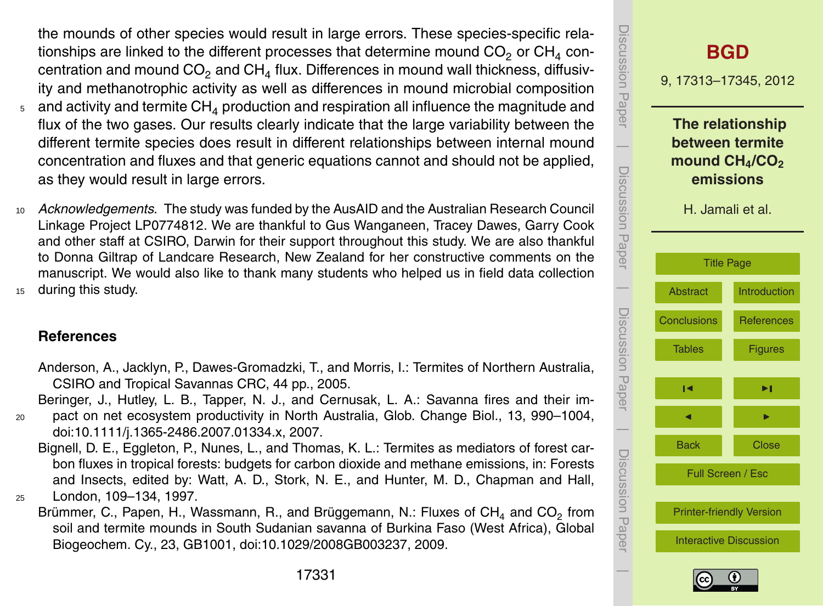<span id="page-18-0"></span>the mounds of other species would result in large errors. These species-specific relationships are linked to the different processes that determine mound  $CO<sub>2</sub>$  or  $CH<sub>4</sub>$  concentration and mound  $CO<sub>2</sub>$  and  $CH<sub>4</sub>$  flux. Differences in mound wall thickness, diffusivity and methanotrophic activity as well as differences in mound microbial composition

- $5$  and activity and termite CH<sub>A</sub> production and respiration all influence the magnitude and flux of the two gases. Our results clearly indicate that the large variability between the different termite species does result in different relationships between internal mound concentration and fluxes and that generic equations cannot and should not be applied, as they would result in large errors.
- <sup>10</sup> *Acknowledgements.* The study was funded by the AusAID and the Australian Research Council Linkage Project LP0774812. We are thankful to Gus Wanganeen, Tracey Dawes, Garry Cook and other staff at CSIRO, Darwin for their support throughout this study. We are also thankful to Donna Giltrap of Landcare Research, New Zealand for her constructive comments on the manuscript. We would also like to thank many students who helped us in field data collection <sup>15</sup> during this study.

**References**

Anderson, A., Jacklyn, P., Dawes-Gromadzki, T., and Morris, I.: Termites of Northern Australia, CSIRO and Tropical Savannas CRC, 44 pp., 2005.

Beringer, J., Hutley, L. B., Tapper, N. J., and Cernusak, L. A.: Savanna fires and their im-

<sup>20</sup> pact on net ecosystem productivity in North Australia, Glob. Change Biol., 13, 990–1004, doi[:10.1111/j.1365-2486.2007.01334.x,](http://dx.doi.org/10.1111/j.1365-2486.2007.01334.x) 2007.

Bignell, D. E., Eggleton, P., Nunes, L., and Thomas, K. L.: Termites as mediators of forest carbon fluxes in tropical forests: budgets for carbon dioxide and methane emissions, in: Forests and Insects, edited by: Watt, A. D., Stork, N. E., and Hunter, M. D., Chapman and Hall, <sup>25</sup> London, 109–134, 1997.

Brümmer, C., Papen, H., Wassmann, R., and Brüggemann, N.: Fluxes of CH<sub>4</sub> and CO<sub>2</sub> from soil and termite mounds in South Sudanian savanna of Burkina Faso (West Africa), Global Biogeochem. Cy., 23, GB1001, doi[:10.1029/2008GB003237,](http://dx.doi.org/10.1029/2008GB003237) 2009.

![](_page_18_Picture_10.jpeg)

![](_page_18_Picture_11.jpeg)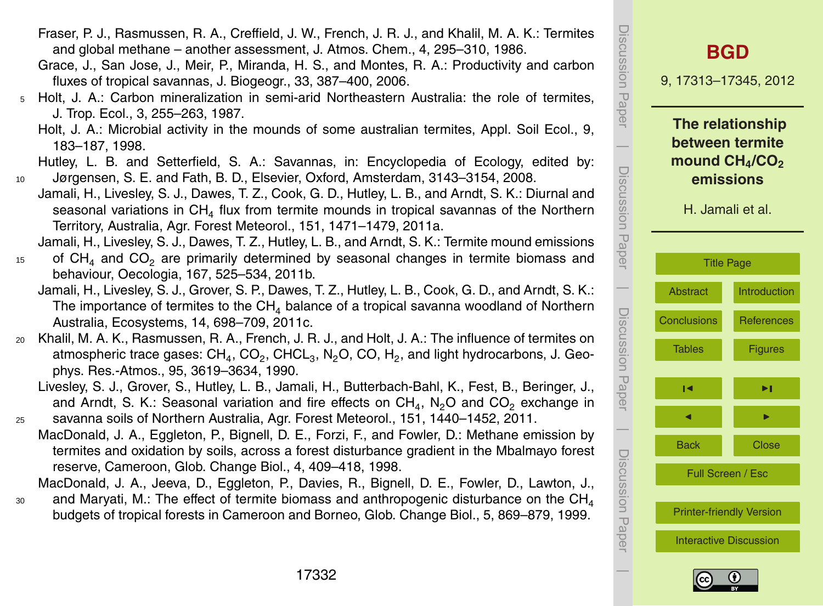- Fraser, P. J., Rasmussen, R. A., Creffield, J. W., French, J. R. J., and Khalil, M. A. K.: Termites and global methane – another assessment, J. Atmos. Chem., 4, 295–310, 1986.
- Grace, J., San Jose, J., Meir, P., Miranda, H. S., and Montes, R. A.: Productivity and carbon fluxes of tropical savannas, J. Biogeogr., 33, 387–400, 2006.
- <sup>5</sup> Holt, J. A.: Carbon mineralization in semi-arid Northeastern Australia: the role of termites, J. Trop. Ecol., 3, 255–263, 1987.
	- Holt, J. A.: Microbial activity in the mounds of some australian termites, Appl. Soil Ecol., 9, 183–187, 1998.
- Hutley, L. B. and Setterfield, S. A.: Savannas, in: Encyclopedia of Ecology, edited by: <sup>10</sup> Jørgensen, S. E. and Fath, B. D., Elsevier, Oxford, Amsterdam, 3143–3154, 2008.
- Jamali, H., Livesley, S. J., Dawes, T. Z., Cook, G. D., Hutley, L. B., and Arndt, S. K.: Diurnal and seasonal variations in  $CH<sub>4</sub>$  flux from termite mounds in tropical savannas of the Northern Territory, Australia, Agr. Forest Meteorol., 151, 1471–1479, 2011a.
- Jamali, H., Livesley, S. J., Dawes, T. Z., Hutley, L. B., and Arndt, S. K.: Termite mound emissions  $15$  of CH<sub>4</sub> and CO<sub>2</sub> are primarily determined by seasonal changes in termite biomass and behaviour, Oecologia, 167, 525–534, 2011b.
	- Jamali, H., Livesley, S. J., Grover, S. P., Dawes, T. Z., Hutley, L. B., Cook, G. D., and Arndt, S. K.: The importance of termites to the  $CH<sub>4</sub>$  balance of a tropical savanna woodland of Northern Australia, Ecosystems, 14, 698–709, 2011c.
- <sup>20</sup> Khalil, M. A. K., Rasmussen, R. A., French, J. R. J., and Holt, J. A.: The influence of termites on atmospheric trace gases:  $\textsf{CH}_4$ ,  $\textsf{CO}_2$ ,  $\textsf{CHCL}_3$ , N<sub>2</sub>O, CO, H<sub>2</sub>, and light hydrocarbons, J. Geophys. Res.-Atmos., 95, 3619–3634, 1990.
- Livesley, S. J., Grover, S., Hutley, L. B., Jamali, H., Butterbach-Bahl, K., Fest, B., Beringer, J., and Arndt, S. K.: Seasonal variation and fire effects on CH<sub>4</sub>, N<sub>2</sub>O and CO<sub>2</sub> exchange in <sup>25</sup> savanna soils of Northern Australia, Agr. Forest Meteorol., 151, 1440–1452, 2011.
	- MacDonald, J. A., Eggleton, P., Bignell, D. E., Forzi, F., and Fowler, D.: Methane emission by termites and oxidation by soils, across a forest disturbance gradient in the Mbalmayo forest reserve, Cameroon, Glob. Change Biol., 4, 409–418, 1998.
- MacDonald, J. A., Jeeva, D., Eggleton, P., Davies, R., Bignell, D. E., Fowler, D., Lawton, J.,
- and Maryati, M.: The effect of termite biomass and anthropogenic disturbance on the  $CH<sub>4</sub>$ 30 budgets of tropical forests in Cameroon and Borneo, Glob. Change Biol., 5, 869–879, 1999.

![](_page_19_Picture_14.jpeg)

[Interactive Discussion](http://www.biogeosciences-discuss.net/9/17313/2012/bgd-9-17313-2012-discussion.html)

![](_page_19_Picture_16.jpeg)

 $\overline{\phantom{a}}$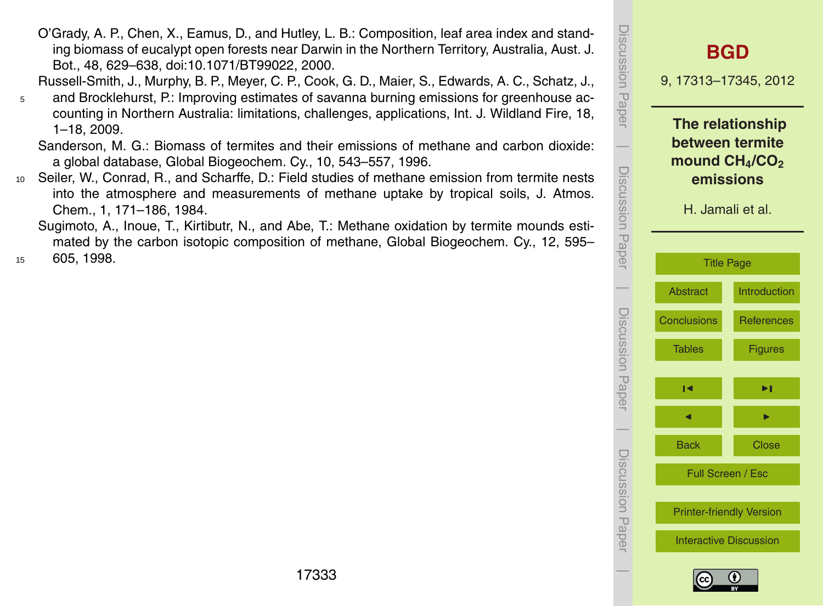**The relationship between termite mound CH4/CO<sup>2</sup> emissions** H. Jamali et al. [Title Page](#page-0-0) [Abstract](#page-1-0) [Introduction](#page-2-0) [Conclusions](#page-17-0) [References](#page-18-0) [Tables](#page-21-0) [Figures](#page-27-0)  $\overline{\phantom{a}}$ J I Back Close Full Screen / Esc [Printer-friendly Version](http://www.biogeosciences-discuss.net/9/17313/2012/bgd-9-17313-2012-print.pdf) [Interactive Discussion](http://www.biogeosciences-discuss.net/9/17313/2012/bgd-9-17313-2012-discussion.html)

![](_page_20_Picture_1.jpeg)

O'Grady, A. P., Chen, X., Eamus, D., and Hutley, L. B.: Composition, leaf area index and standing biomass of eucalypt open forests near Darwin in the Northern Territory, Australia, Aust. J. Bot., 48, 629–638, doi[:10.1071/BT99022,](http://dx.doi.org/10.1071/BT99022) 2000.

Russell-Smith, J., Murphy, B. P., Meyer, C. P., Cook, G. D., Maier, S., Edwards, A. C., Schatz, J.,

<sup>5</sup> and Brocklehurst, P.: Improving estimates of savanna burning emissions for greenhouse accounting in Northern Australia: limitations, challenges, applications, Int. J. Wildland Fire, 18, 1–18, 2009.

Sanderson, M. G.: Biomass of termites and their emissions of methane and carbon dioxide: a global database, Global Biogeochem. Cy., 10, 543–557, 1996.

<sup>10</sup> Seiler, W., Conrad, R., and Scharffe, D.: Field studies of methane emission from termite nests into the atmosphere and measurements of methane uptake by tropical soils, J. Atmos. Chem., 1, 171–186, 1984.

Sugimoto, A., Inoue, T., Kirtibutr, N., and Abe, T.: Methane oxidation by termite mounds estimated by the carbon isotopic composition of methane, Global Biogeochem. Cy., 12, 595– <sup>15</sup> 605, 1998.

![](_page_20_Picture_10.jpeg)

Discussion Paper

Discussion Paper

 $\overline{\phantom{a}}$ 

Discussion Paper

Discussion Paper

 $\overline{\phantom{a}}$ 

Discussion Paper

 $\overline{\phantom{a}}$ 

Discussion Paper

Discussion Paper

 $\overline{\phantom{a}}$ 

9, 17313–17345, 2012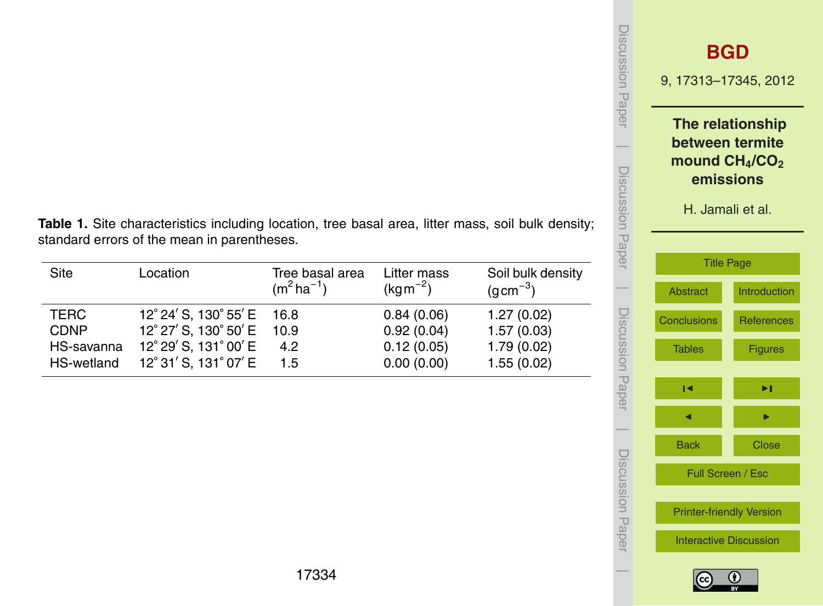| <b>JISCUSSION Paper</b> | <b>BGD</b><br>9, 17313-17345, 2012                                  |                                     |
|-------------------------|---------------------------------------------------------------------|-------------------------------------|
|                         | between termite<br>mound $CH4/CO2$<br>emissions<br>H. Jamali et al. | The relationship                    |
| Discussion Paper        | <b>Title Page</b><br><b>Abstract</b>                                | <b>Introduction</b>                 |
| Discussion Pape         | <b>Conclusions</b><br><b>Tables</b>                                 | <b>References</b><br><b>Figures</b> |
|                         | м                                                                   | ▶।                                  |
|                         | <b>Back</b><br>Full Screen / Esc                                    | <b>Close</b>                        |
| Jiscussion<br>Paper     | <b>Printer-friendly Version</b><br><b>Interactive Discussion</b>    |                                     |
|                         |                                                                     |                                     |

 $|cc|$ 

<span id="page-21-0"></span>**Table 1.** Site characteristics including location, tree basal area, litter mass, soil bulk density; standard errors of the mean in parentheses.

| Site        | Location                   | Tree basal area<br>$(m^2 ha^{-1})$ | Litter mass<br>$(kgm^{-2})$ | Soil bulk density<br>$(gcm^{-3})$ |
|-------------|----------------------------|------------------------------------|-----------------------------|-----------------------------------|
| TERC        | 12° 24' S, 130° 55' E 16.8 |                                    | 0.84(0.06)                  | 1.27(0.02)                        |
| <b>CDNP</b> | 12° 27' S, 130° 50' E 10.9 |                                    | 0.92(0.04)                  | 1.57(0.03)                        |
| HS-savanna  | 12° 29' S, 131° 00' E      | 4.2                                | 0.12(0.05)                  | 1.79(0.02)                        |
| HS-wetland  | 12° 31' S, 131° 07' E      | 1.5                                | 0.00(0.00)                  | 1.55(0.02)                        |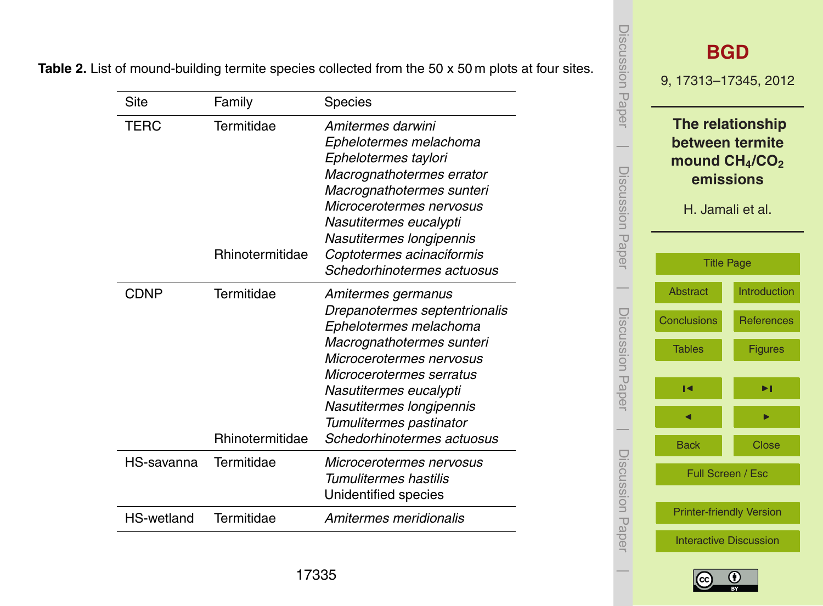Table 2. List of mound-building termite species collected from the 50 x 50 m plots at four sites.

| Site        | Family                               | Species                                                                                                                                                                                                                                                                           |
|-------------|--------------------------------------|-----------------------------------------------------------------------------------------------------------------------------------------------------------------------------------------------------------------------------------------------------------------------------------|
| TERC        | Termitidae                           | Amitermes darwini<br>Ephelotermes melachoma<br>Ephelotermes taylori<br>Macrognathotermes errator<br>Macrognathotermes sunteri<br>Microcerotermes nervosus<br>Nasutitermes eucalypti<br>Nasutitermes longipennis                                                                   |
|             | Rhinotermitidae                      | Coptotermes acinaciformis<br>Schedorhinotermes actuosus                                                                                                                                                                                                                           |
| <b>CDNP</b> | Termitidae<br><b>Rhinotermitidae</b> | Amitermes germanus<br>Drepanotermes septentrionalis<br>Ephelotermes melachoma<br>Macrognathotermes sunteri<br>Microcerotermes nervosus<br>Microcerotermes serratus<br>Nasutitermes eucalypti<br>Nasutitermes longipennis<br>Tumulitermes pastinator<br>Schedorhinotermes actuosus |
| HS-savanna  | Termitidae                           | Microcerotermes nervosus<br>Tumulitermes hastilis<br>Unidentified species                                                                                                                                                                                                         |
| HS-wetland  | Termitidae                           | Amitermes meridionalis                                                                                                                                                                                                                                                            |

![](_page_22_Picture_2.jpeg)

![](_page_22_Picture_3.jpeg)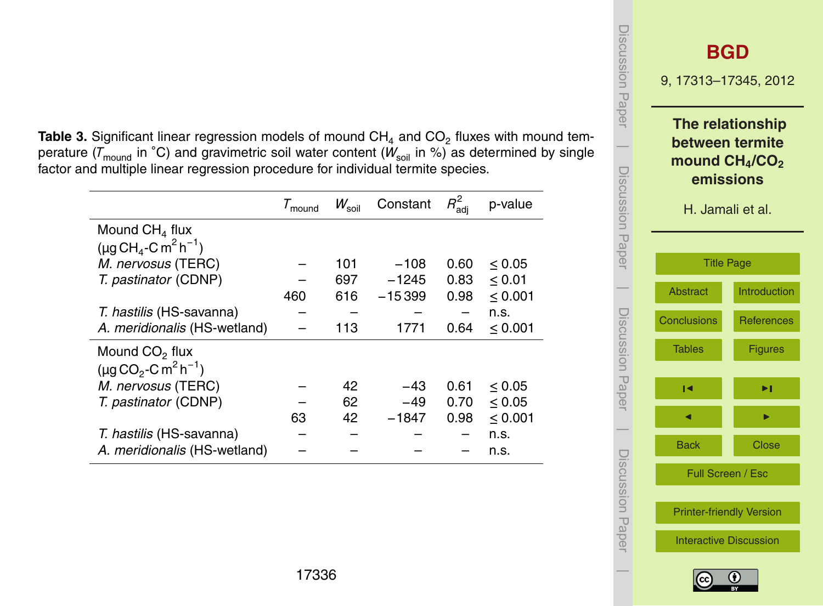**Table 3.** Significant linear regression models of mound  $CH_4$  and  $CO_2$  fluxes with mound temperature ( $\overline{T}_{\text{mound}}$  in °C) and gravimetric soil water content ( $W_{\text{sol}}$  in %) as determined by single factor and multiple linear regression procedure for individual termite species.

|                                                   | $\tau_{\text{mound}}$ | $W_{\rm soil}$ | Constant | $R_{\text{adj}}^2$ | p-value      |
|---------------------------------------------------|-----------------------|----------------|----------|--------------------|--------------|
| Mound $CH4$ flux                                  |                       |                |          |                    |              |
| $(\mu q CH_{4}-C m^{2} h^{-1})$                   |                       |                |          |                    |              |
| M. nervosus (TERC)                                |                       | 101            | $-108$   | 0.60               | < 0.05       |
| T. pastinator (CDNP)                              |                       | 697            | $-1245$  | 0.83               | $\leq 0.01$  |
|                                                   | 460                   | 616            | $-15399$ | 0.98               | $\leq 0.001$ |
| T. hastilis (HS-savanna)                          |                       |                |          |                    | n.s.         |
| A. meridionalis (HS-wetland)                      |                       | 113            | 1771     | 0.64               | < 0.001      |
| Mound $CO2$ flux                                  |                       |                |          |                    |              |
| $(\mu q CO_2$ -C m <sup>2</sup> h <sup>-1</sup> ) |                       |                |          |                    |              |
| M. nervosus (TERC)                                |                       | 42             | -43      | 0.61               | < 0.05       |
| T. pastinator (CDNP)                              |                       | 62             | $-49$    | 0.70               | < 0.05       |
|                                                   | 63                    | 42             | $-1847$  | 0.98               | $\leq 0.001$ |
| T. hastilis (HS-savanna)                          |                       |                |          |                    | n.s.         |
| A. meridionalis (HS-wetland)                      |                       |                |          |                    | n.s.         |

![](_page_23_Figure_2.jpeg)

![](_page_23_Picture_3.jpeg)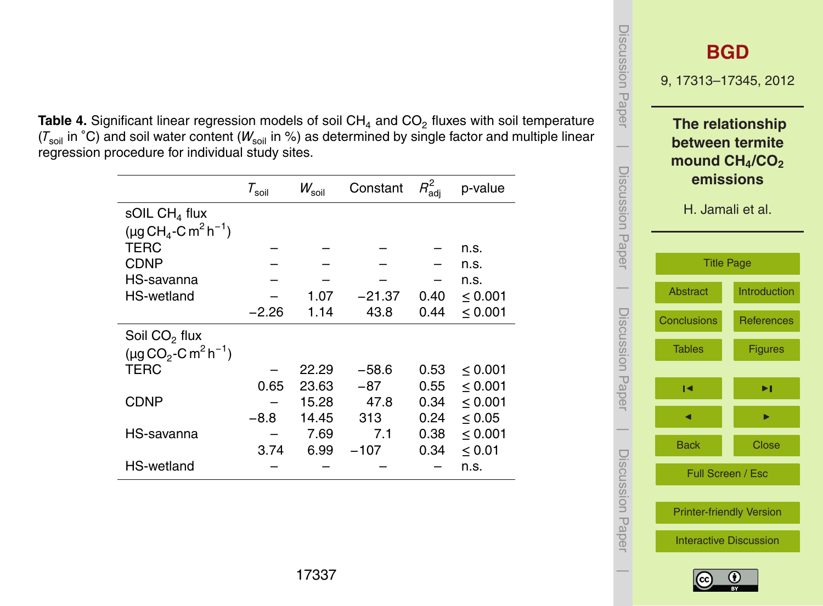**Table 4.** Significant linear regression models of soil CH<sub>4</sub> and CO<sub>2</sub> fluxes with soil temperature ( $T_{\text{soil}}$  in °C) and soil water content ( $W_{\text{soil}}$  in %) as determined by single factor and multiple linear regression procedure for individual study sites.

|                                                   | $\tau_{\rm soil}$ | $W_{\rm soil}$ | Constant | $R^2_{\text{adj}}$ | p-value     |
|---------------------------------------------------|-------------------|----------------|----------|--------------------|-------------|
| sOIL $CH4$ flux                                   |                   |                |          |                    |             |
| $(\mu q CH_{4}-C m^{2} h^{-1})$                   |                   |                |          |                    |             |
| TERC                                              |                   |                |          |                    | n.s.        |
| <b>CDNP</b>                                       |                   |                |          |                    | n.s.        |
| HS-savanna                                        |                   |                |          |                    | n.s.        |
| <b>HS-wetland</b>                                 |                   | 1.07           | $-21.37$ | 0.40               | ≤ 0.001     |
|                                                   | $-2.26$           | 1.14           | 43.8     | 0.44               | ≤ 0.001     |
| Soil $CO2$ flux                                   |                   |                |          |                    |             |
| $(\mu g CO_2$ -C m <sup>2</sup> h <sup>-1</sup> ) |                   |                |          |                    |             |
| TERC                                              |                   | 22.29          | $-58.6$  | 0.53               | ≤ 0.001     |
|                                                   | 0.65              | 23.63          | $-87$    | 0.55               | < 0.001     |
| CDNP                                              |                   | 15.28          | 47.8     | 0.34               | < 0.001     |
|                                                   | $-8.8$            | 14.45          | 313      | 0.24               | ${}_{0.05}$ |
| HS-savanna                                        |                   | 7.69           | 7.1      | 0.38               | < 0.001     |
|                                                   | 3.74              | 6.99           | $-107$   | 0.34               | $\leq 0.01$ |
| HS-wetland                                        |                   |                |          |                    | n.s.        |

![](_page_24_Figure_2.jpeg)

![](_page_24_Picture_3.jpeg)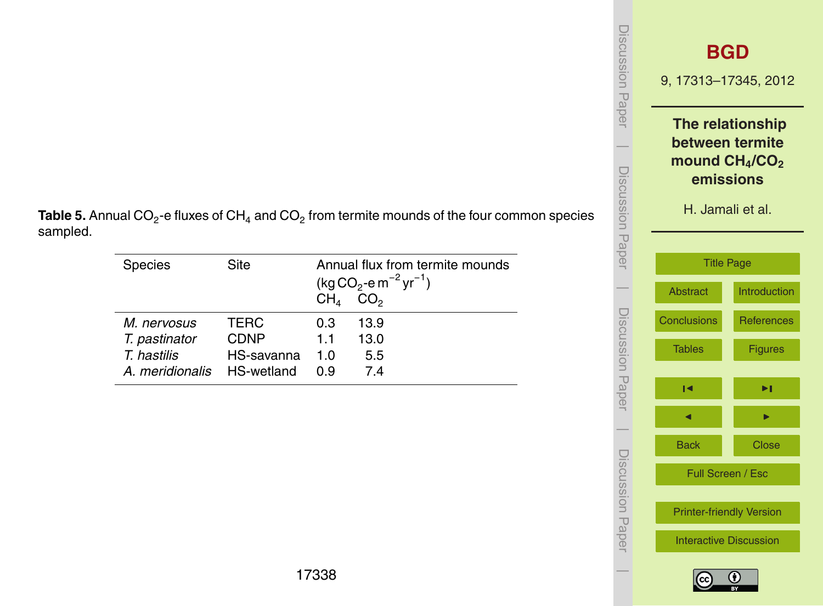| <b>ISCUSSION Papel</b> |                               | <b>BGD</b><br>9, 17313-17345, 2012                                                      |  |  |
|------------------------|-------------------------------|-----------------------------------------------------------------------------------------|--|--|
| iscussion<br>Paper     |                               | The relationship<br>between termite<br>mound $CH4/CO2$<br>emissions<br>H. Jamali et al. |  |  |
|                        |                               | <b>Title Page</b>                                                                       |  |  |
|                        | <b>Abstract</b>               | <b>Introduction</b>                                                                     |  |  |
|                        | <b>Conclusions</b>            | <b>References</b>                                                                       |  |  |
| Discussion Papel       | <b>Tables</b>                 | <b>Figures</b>                                                                          |  |  |
|                        | М                             | ▶∣                                                                                      |  |  |
|                        |                               |                                                                                         |  |  |
|                        | <b>Back</b>                   | <b>Close</b>                                                                            |  |  |
| <b>Decussion Pape</b>  |                               | Full Screen / Esc                                                                       |  |  |
|                        |                               | <b>Printer-friendly Version</b>                                                         |  |  |
|                        | <b>Interactive Discussion</b> |                                                                                         |  |  |
|                        |                               |                                                                                         |  |  |

 $\bigcirc$ 

**Table 5.** Annual CO<sub>2</sub>-e fluxes of CH<sub>4</sub> and CO<sub>2</sub> from termite mounds of the four common species sampled.

| <b>Species</b>  | Site        | CH <sub>4</sub> | $(kg CO2 - e m-2 yr-1)$<br>CO <sub>2</sub> | Annual flux from termite mounds |
|-----------------|-------------|-----------------|--------------------------------------------|---------------------------------|
| M. nervosus     | <b>TERC</b> | 0.3             | 13.9                                       |                                 |
| T. pastinator   | <b>CDNP</b> | 11              | 13.0                                       |                                 |
| T. hastilis     | HS-savanna  |                 | 5.5                                        |                                 |
| A. meridionalis | HS-wetland  | ი 9             | 74                                         |                                 |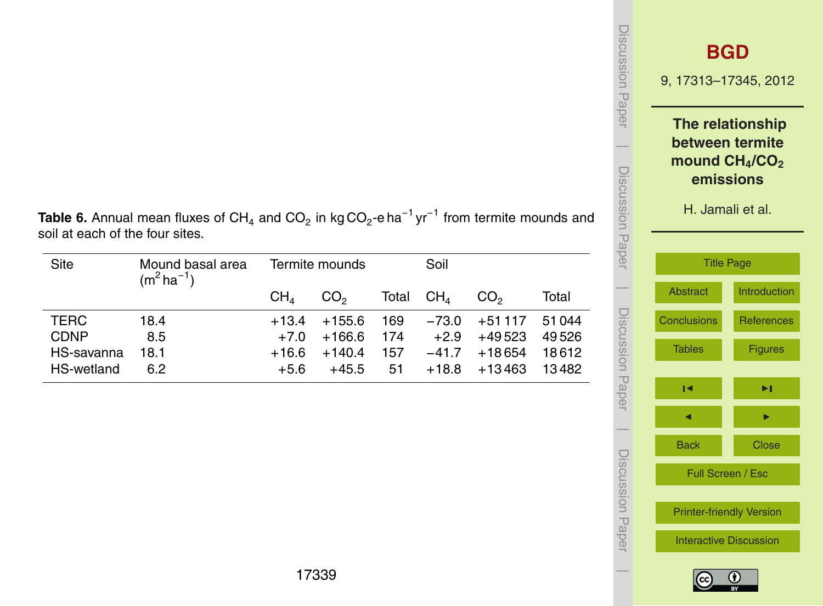|   | iscussion<br>Pape |                                 | <b>BGD</b><br>9, 17313-17345, 2012<br>The relationship<br>between termite<br>mound CH <sub>4</sub> /CO <sub>2</sub><br>emissions<br>H. Jamali et al. |  |  |
|---|-------------------|---------------------------------|------------------------------------------------------------------------------------------------------------------------------------------------------|--|--|
| d | Discussion Paper  |                                 |                                                                                                                                                      |  |  |
|   |                   | <b>Title Page</b>               |                                                                                                                                                      |  |  |
|   |                   | <b>Abstract</b>                 | Introduction                                                                                                                                         |  |  |
|   |                   | <b>Conclusions</b>              | <b>References</b>                                                                                                                                    |  |  |
|   | Discussion Papel  | <b>Tables</b>                   | <b>Figures</b>                                                                                                                                       |  |  |
|   |                   | ıч                              | ▶∣                                                                                                                                                   |  |  |
|   |                   |                                 |                                                                                                                                                      |  |  |
|   |                   | <b>Back</b>                     | <b>Close</b>                                                                                                                                         |  |  |
|   | Discussion Pape   | Full Screen / Esc               |                                                                                                                                                      |  |  |
|   |                   | <b>Printer-friendly Version</b> |                                                                                                                                                      |  |  |
|   |                   |                                 | <b>Interactive Discussion</b>                                                                                                                        |  |  |

 $|cc|$ 

 $\overline{\phantom{a}}$ 

**Table 6.** Annual mean fluxes of CH<sub>4</sub> and CO<sub>2</sub> in kg CO<sub>2</sub>-e ha<sup>-1</sup> yr<sup>-1</sup> from termite mounds and soil at each of the four sites.

| Site        | Mound basal area<br>$(m^2 ha^{-1})$ | Termite mounds  |                 |     | Soil        |                 |       |
|-------------|-------------------------------------|-----------------|-----------------|-----|-------------|-----------------|-------|
|             |                                     | CH <sub>4</sub> | CO <sub>2</sub> |     | Total $CH4$ | CO <sub>2</sub> | Total |
| TERC        | 18.4                                | $+13.4$         | +155.6          | 169 | $-73.0$     | +51 117         | 51044 |
| <b>CDNP</b> | 8.5                                 | $+7.0$          | $+166.6$        | 174 | $+2.9$      | +49 523         | 49526 |
| HS-savanna  | 18.1                                | +16.6           | $+140.4$        | 157 | $-41.7$     | +18654          | 18612 |
| HS-wetland  | 6.2                                 | $+5.6$          | $+45.5$         | 51  | $+18.8$     | +13463          | 13482 |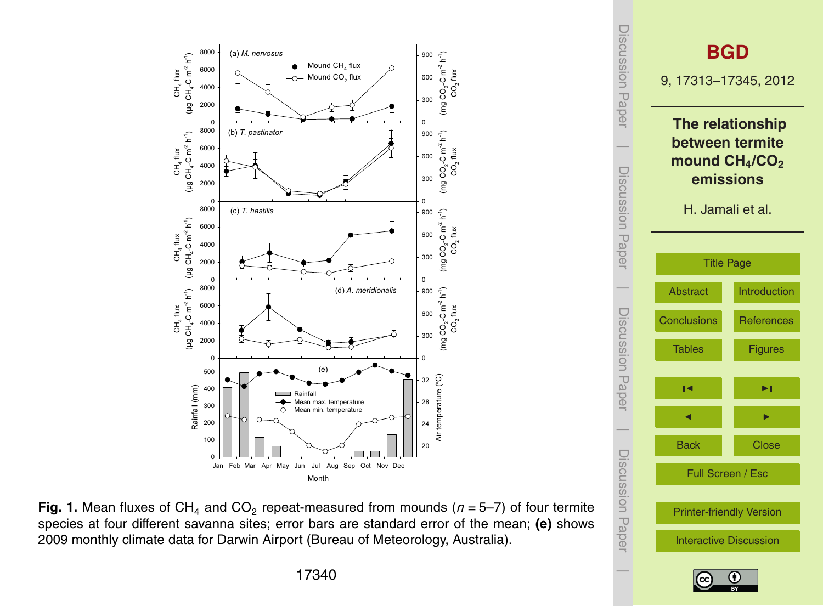<span id="page-27-0"></span>![](_page_27_Figure_0.jpeg)

![](_page_27_Figure_1.jpeg)

![](_page_27_Figure_2.jpeg)

![](_page_27_Picture_3.jpeg)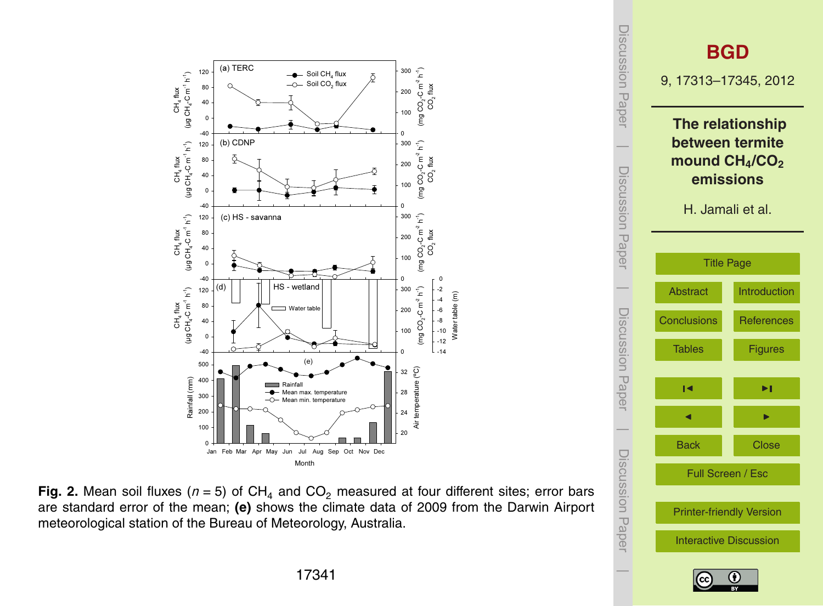![](_page_28_Figure_0.jpeg)

![](_page_28_Figure_1.jpeg)

![](_page_28_Figure_2.jpeg)

![](_page_28_Picture_3.jpeg)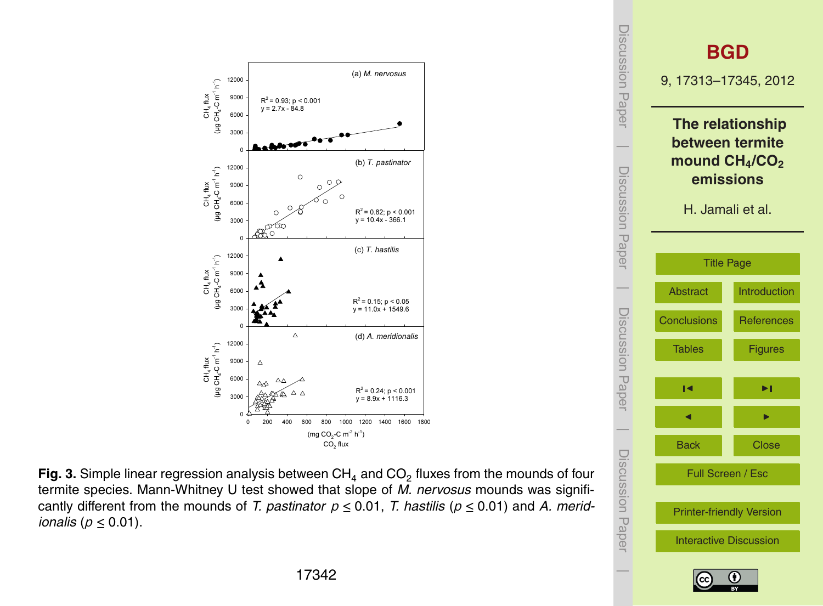![](_page_29_Figure_0.jpeg)

Fig. 3. Simple linear regression analysis between  $\textsf{CH}_4$  and  $\textsf{CO}_2$  fluxes from the mounds of four termite species. Mann-Whitney U test showed that slope of *M. nervosus* mounds was significantly different from the mounds of *T. pastinator*  $p \le 0.01$ , *T. hastilis* ( $p \le 0.01$ ) and *A. meridionalis* ( $p \leq 0.01$ ).

![](_page_29_Figure_2.jpeg)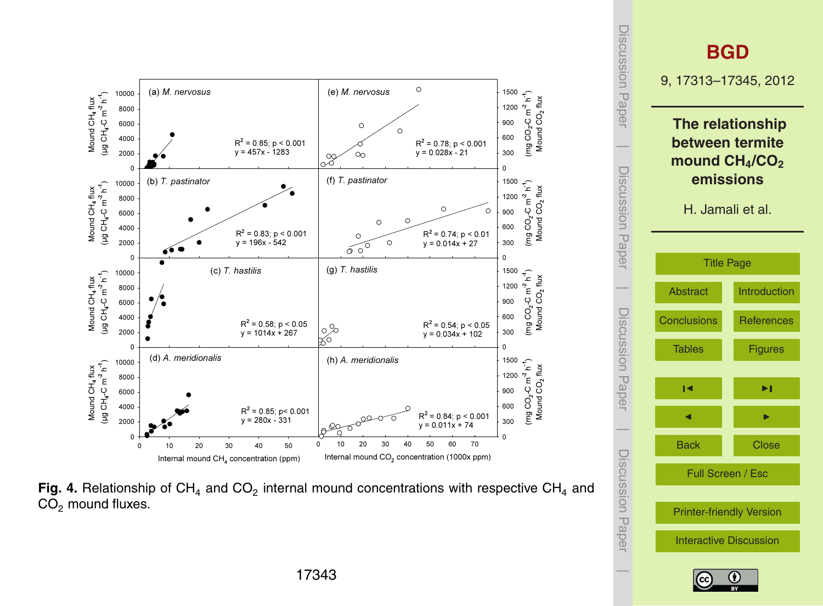![](_page_30_Figure_0.jpeg)

Fig. 4. Relationship of CH<sub>4</sub> and CO<sub>2</sub> internal mound concentrations with respective CH<sub>4</sub> and  $CO<sub>2</sub>$  mound fluxes.

![](_page_30_Figure_2.jpeg)

![](_page_30_Picture_3.jpeg)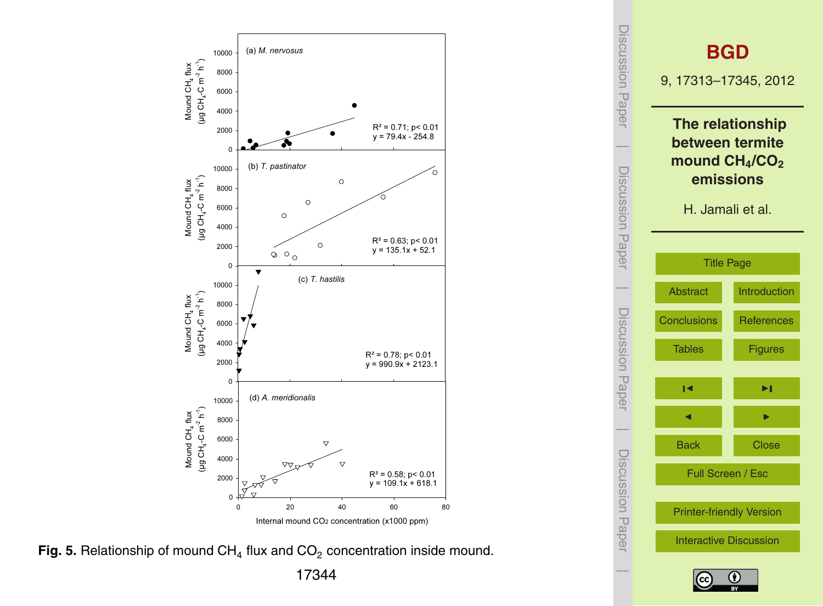![](_page_31_Figure_0.jpeg)

**Fig. 5.** Relationship of mound CH<sub>4</sub> flux and CO<sub>2</sub> concentration inside mound.

![](_page_31_Figure_2.jpeg)

![](_page_31_Picture_3.jpeg)